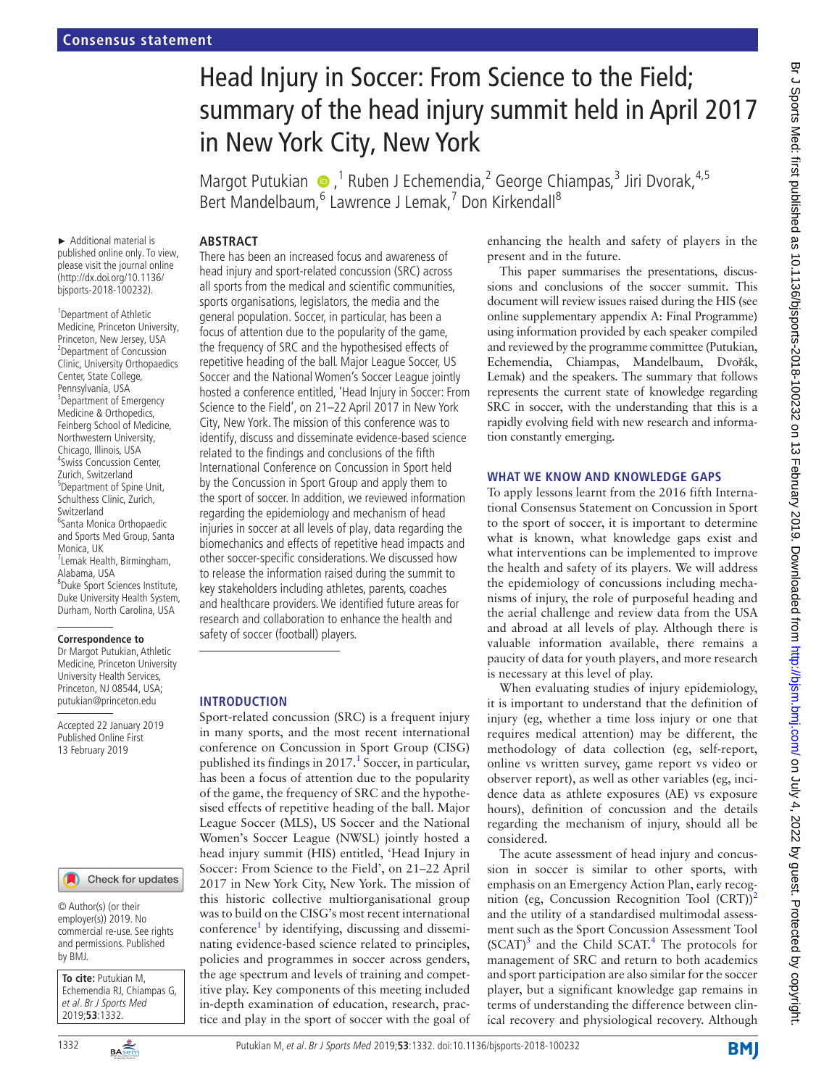# Head Injury in Soccer: From Science to the Field; summary of the head injury summit held in April 2017 in New York City, New York

MargotPutukian  $\bullet$ , <sup>1</sup> Ruben J Echemendia, <sup>2</sup> George Chiampas, <sup>3</sup> Jiri Dvorak, <sup>4, 5</sup> Bert Mandelbaum, <sup>6</sup> Lawrence J Lemak, 7 Don Kirkendall<sup>8</sup>

## **Abstract**

► Additional material is published online only. To view, please visit the journal online (http://dx.doi.org/10.1136/ bjsports-2018-100232).

<sup>1</sup>Department of Athletic Medicine, Princeton University, Princeton, New Jersey, USA <sup>2</sup> Department of Concussion Clinic, University Orthopaedics Center, State College, Pennsylvania, USA <sup>3</sup>Department of Emergency Medicine & Orthopedics, Feinberg School of Medicine, Northwestern University, Chicago, Illinois, USA 4 Swiss Concussion Center, Zurich, Switzerland <sup>5</sup>Department of Spine Unit, Schulthess Clinic, Zurich, Switzerland <sup>6</sup>Santa Monica Orthopaedic and Sports Med Group, Santa Monica, UK 7 Lemak Health, Birmingham, Alabama, USA 8 Duke Sport Sciences Institute, Duke University Health System, Durham, North Carolina, USA

#### **Correspondence to**

Dr Margot Putukian, Athletic Medicine, Princeton University University Health Services, Princeton, NJ 08544, USA; putukian@princeton.edu

Accepted 22 January 2019 Published Online First 13 February 2019

#### Check for updates

© Author(s) (or their employer(s)) 2019. No commercial re-use. See rights and permissions. Published by BMJ.

**To cite:** Putukian M, Echemendia RJ, Chiampas G, et al. Br J Sports Med 2019;**53**:1332.

There has been an increased focus and awareness of head injury and sport-related concussion (SRC) across all sports from the medical and scientific communities, sports organisations, legislators, the media and the general population. Soccer, in particular, has been a focus of attention due to the popularity of the game, the frequency of SRC and the hypothesised effects of repetitive heading of the ball. Major League Soccer, US Soccer and the National Women's Soccer League jointly hosted a conference entitled, 'Head Injury in Soccer: From Science to the Field', on 21–22 April 2017 in New York City, New York. The mission of this conference was to identify, discuss and disseminate evidence-based science related to the findings and conclusions of the fifth International Conference on Concussion in Sport held by the Concussion in Sport Group and apply them to the sport of soccer. In addition, we reviewed information regarding the epidemiology and mechanism of head injuries in soccer at all levels of play, data regarding the biomechanics and effects of repetitive head impacts and other soccer-specific considerations. We discussed how to release the information raised during the summit to key stakeholders including athletes, parents, coaches and healthcare providers. We identified future areas for research and collaboration to enhance the health and safety of soccer (football) players.

## **Introduction**

Sport-related concussion (SRC) is a frequent injury in many sports, and the most recent international conference on Concussion in Sport Group (CISG) published its findings in  $2017<sup>1</sup>$  Soccer, in particular, has been a focus of attention due to the popularity of the game, the frequency of SRC and the hypothesised effects of repetitive heading of the ball. Major League Soccer (MLS), US Soccer and the National Women's Soccer League (NWSL) jointly hosted a head injury summit (HIS) entitled, 'Head Injury in Soccer: From Science to the Field', on 21–22 April 2017 in New York City, New York. The mission of this historic collective multiorganisational group was to build on the CISG's most recent international conference<sup>[1](#page-11-0)</sup> by identifying, discussing and disseminating evidence-based science related to principles, policies and programmes in soccer across genders, the age spectrum and levels of training and competitive play. Key components of this meeting included in-depth examination of education, research, practice and play in the sport of soccer with the goal of

enhancing the health and safety of players in the present and in the future.

This paper summarises the presentations, discussions and conclusions of the soccer summit. This document will review issues raised during the HIS (see online [supplementary appendix A](https://dx.doi.org/10.1136/bjsports-2018-100232): Final Programme) using information provided by each speaker compiled and reviewed by the programme committee (Putukian, Echemendia, Chiampas, Mandelbaum, Dvořák, Lemak) and the speakers. The summary that follows represents the current state of knowledge regarding SRC in soccer, with the understanding that this is a rapidly evolving field with new research and information constantly emerging.

## **What we know and knowledge gaps**

To apply lessons learnt from the 2016 fifth International Consensus Statement on Concussion in Sport to the sport of soccer, it is important to determine what is known, what knowledge gaps exist and what interventions can be implemented to improve the health and safety of its players. We will address the epidemiology of concussions including mechanisms of injury, the role of purposeful heading and the aerial challenge and review data from the USA and abroad at all levels of play. Although there is valuable information available, there remains a paucity of data for youth players, and more research is necessary at this level of play.

When evaluating studies of injury epidemiology, it is important to understand that the definition of injury (eg, whether a time loss injury or one that requires medical attention) may be different, the methodology of data collection (eg, self-report, online vs written survey, game report vs video or observer report), as well as other variables (eg, incidence data as athlete exposures (AE) vs exposure hours), definition of concussion and the details regarding the mechanism of injury, should all be considered.

The acute assessment of head injury and concussion in soccer is similar to other sports, with emphasis on an Emergency Action Plan, early recognition (eg, Concussion Recognition Tool  $(CRT))^2$  $(CRT))^2$ and the utility of a standardised multimodal assessment such as the Sport Concussion Assessment Tool  $(SCAT)^3$  and the Child SCAT.<sup>4</sup> The protocols for management of SRC and return to both academics and sport participation are also similar for the soccer player, but a significant knowledge gap remains in terms of understanding the difference between clinical recovery and physiological recovery. Although

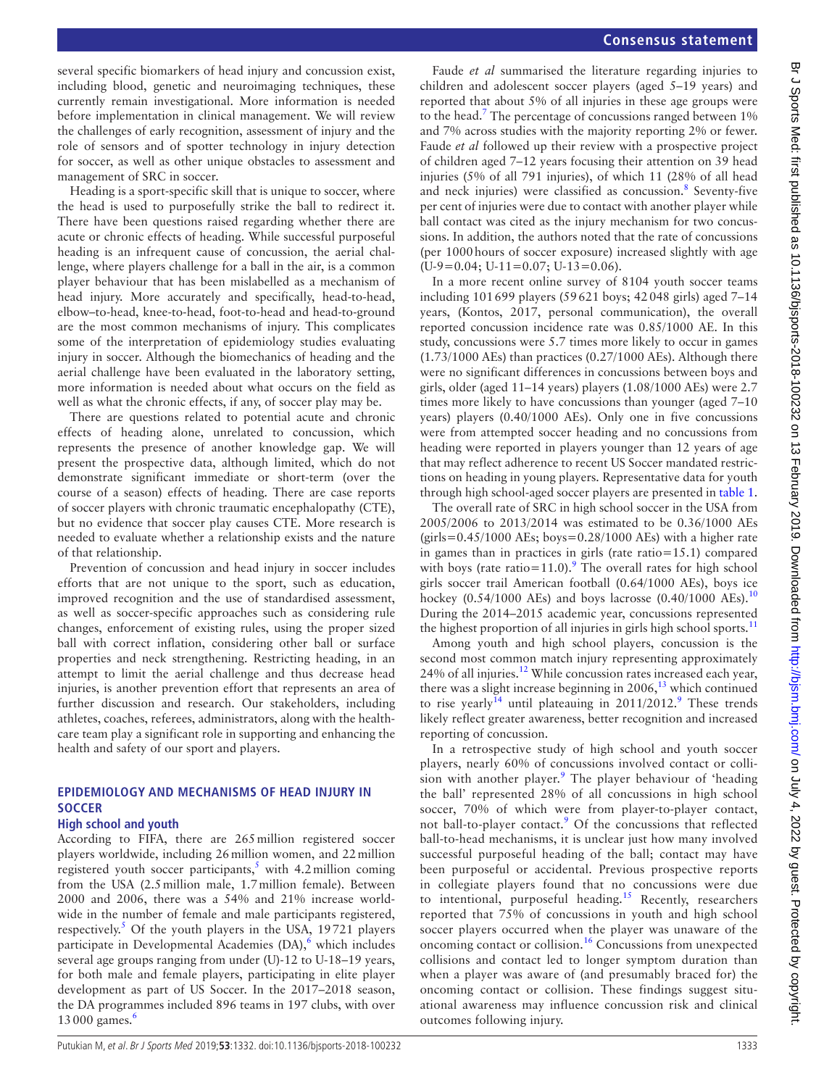several specific biomarkers of head injury and concussion exist, including blood, genetic and neuroimaging techniques, these currently remain investigational. More information is needed before implementation in clinical management. We will review the challenges of early recognition, assessment of injury and the role of sensors and of spotter technology in injury detection for soccer, as well as other unique obstacles to assessment and management of SRC in soccer.

Heading is a sport-specific skill that is unique to soccer, where the head is used to purposefully strike the ball to redirect it. There have been questions raised regarding whether there are acute or chronic effects of heading. While successful purposeful heading is an infrequent cause of concussion, the aerial challenge, where players challenge for a ball in the air, is a common player behaviour that has been mislabelled as a mechanism of head injury. More accurately and specifically, head-to-head, elbow–to-head, knee-to-head, foot-to-head and head-to-ground are the most common mechanisms of injury. This complicates some of the interpretation of epidemiology studies evaluating injury in soccer. Although the biomechanics of heading and the aerial challenge have been evaluated in the laboratory setting, more information is needed about what occurs on the field as well as what the chronic effects, if any, of soccer play may be.

There are questions related to potential acute and chronic effects of heading alone, unrelated to concussion, which represents the presence of another knowledge gap. We will present the prospective data, although limited, which do not demonstrate significant immediate or short-term (over the course of a season) effects of heading. There are case reports of soccer players with chronic traumatic encephalopathy (CTE), but no evidence that soccer play causes CTE. More research is needed to evaluate whether a relationship exists and the nature of that relationship.

Prevention of concussion and head injury in soccer includes efforts that are not unique to the sport, such as education, improved recognition and the use of standardised assessment, as well as soccer-specific approaches such as considering rule changes, enforcement of existing rules, using the proper sized ball with correct inflation, considering other ball or surface properties and neck strengthening. Restricting heading, in an attempt to limit the aerial challenge and thus decrease head injuries, is another prevention effort that represents an area of further discussion and research. Our stakeholders, including athletes, coaches, referees, administrators, along with the healthcare team play a significant role in supporting and enhancing the health and safety of our sport and players.

# **Epidemiology and mechanisms of head injury in soccer**

# **High school and youth**

According to FIFA, there are 265million registered soccer players worldwide, including 26million women, and 22million registered youth soccer participants,<sup>[5](#page-11-4)</sup> with 4.2 million coming from the USA (2.5million male, 1.7million female). Between 2000 and 2006, there was a 54% and 21% increase worldwide in the number of female and male participants registered, respectively.<sup>[5](#page-11-4)</sup> Of the youth players in the USA, 19721 players participate in Developmental Academies (DA),<sup>[6](#page-11-5)</sup> which includes several age groups ranging from under (U)-12 to U-18–19 years, for both male and female players, participating in elite player development as part of US Soccer. In the 2017–2018 season, the DA programmes included 896 teams in 197 clubs, with over 13 000 games. $\frac{6}{3}$  $\frac{6}{3}$  $\frac{6}{3}$ 

Faude *et al* summarised the literature regarding injuries to children and adolescent soccer players (aged 5–19 years) and reported that about 5% of all injuries in these age groups were to the head.<sup>7</sup> The percentage of concussions ranged between 1% and 7% across studies with the majority reporting 2% or fewer. Faude *et al* followed up their review with a prospective project of children aged 7–12 years focusing their attention on 39 head injuries (5% of all 791 injuries), of which 11 (28% of all head and neck injuries) were classified as concussion.<sup>8</sup> Seventy-five per cent of injuries were due to contact with another player while ball contact was cited as the injury mechanism for two concussions. In addition, the authors noted that the rate of concussions (per 1000hours of soccer exposure) increased slightly with age  $(U-9=0.04; U-11=0.07; U-13=0.06).$ 

In a more recent online survey of 8104 youth soccer teams including 101699 players (59621 boys; 42048 girls) aged 7–14 years, (Kontos, 2017, personal communication), the overall reported concussion incidence rate was 0.85/1000 AE. In this study, concussions were 5.7 times more likely to occur in games (1.73/1000 AEs) than practices (0.27/1000 AEs). Although there were no significant differences in concussions between boys and girls, older (aged 11–14 years) players (1.08/1000 AEs) were 2.7 times more likely to have concussions than younger (aged 7–10 years) players (0.40/1000 AEs). Only one in five concussions were from attempted soccer heading and no concussions from heading were reported in players younger than 12 years of age that may reflect adherence to recent US Soccer mandated restrictions on heading in young players. Representative data for youth through high school-aged soccer players are presented in [table](#page-2-0) 1.

The overall rate of SRC in high school soccer in the USA from 2005/2006 to 2013/2014 was estimated to be 0.36/1000 AEs  $(girls=0.45/1000$  AEs; boys=0.28/1000 AEs) with a higher rate in games than in practices in girls (rate ratio=15.1) compared with boys (rate ratio=11.0).<sup>[9](#page-11-8)</sup> The overall rates for high school girls soccer trail American football (0.64/1000 AEs), boys ice hockey (0.54/[10](#page-11-9)00 AEs) and boys lacrosse (0.40/1000 AEs).<sup>10</sup> During the 2014–2015 academic year, concussions represented the highest proportion of all injuries in girls high school sports.<sup>[11](#page-11-10)</sup>

Among youth and high school players, concussion is the second most common match injury representing approximately  $24%$  of all injuries.<sup>12</sup> While concussion rates increased each year, there was a slight increase beginning in  $2006<sup>13</sup>$ , which continued to rise yearly<sup>14</sup> until plateauing in  $2011/2012$ .<sup>[9](#page-11-8)</sup> These trends likely reflect greater awareness, better recognition and increased reporting of concussion.

In a retrospective study of high school and youth soccer players, nearly 60% of concussions involved contact or colli-sion with another player.<sup>[9](#page-11-8)</sup> The player behaviour of 'heading the ball' represented 28% of all concussions in high school soccer, 70% of which were from player-to-player contact, not ball-to-player contact.<sup>[9](#page-11-8)</sup> Of the concussions that reflected ball-to-head mechanisms, it is unclear just how many involved successful purposeful heading of the ball; contact may have been purposeful or accidental. Previous prospective reports in collegiate players found that no concussions were due to intentional, purposeful heading.<sup>[15](#page-11-14)</sup> Recently, researchers reported that 75% of concussions in youth and high school soccer players occurred when the player was unaware of the oncoming contact or collision.[16](#page-11-15) Concussions from unexpected collisions and contact led to longer symptom duration than when a player was aware of (and presumably braced for) the oncoming contact or collision. These findings suggest situational awareness may influence concussion risk and clinical outcomes following injury.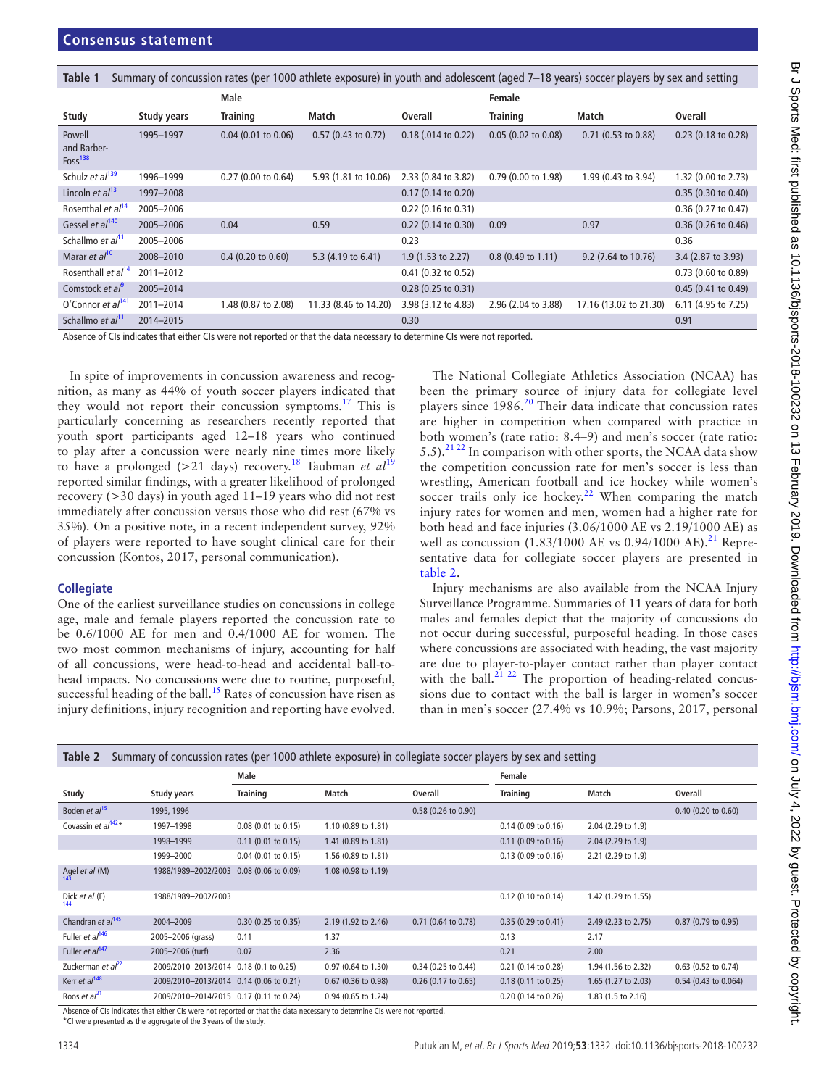<span id="page-2-0"></span>

| Summary of concussion rates (per 1000 athlete exposure) in youth and adolescent (aged 7–18 years) soccer players by sex and setting<br>Table 1 |             |                       |                       |                               |                       |                        |                       |  |
|------------------------------------------------------------------------------------------------------------------------------------------------|-------------|-----------------------|-----------------------|-------------------------------|-----------------------|------------------------|-----------------------|--|
|                                                                                                                                                |             | Male                  |                       |                               | Female                |                        |                       |  |
| Study                                                                                                                                          | Study years | <b>Training</b>       | Match                 | Overall                       | <b>Training</b>       | Match                  | Overall               |  |
| Powell<br>and Barber-<br>Foss <sup>138</sup>                                                                                                   | 1995-1997   | $0.04$ (0.01 to 0.06) | $0.57$ (0.43 to 0.72) | $0.18$ (.014 to 0.22)         | $0.05$ (0.02 to 0.08) | $0.71$ (0.53 to 0.88)  | $0.23$ (0.18 to 0.28) |  |
| Schulz et al <sup>139</sup>                                                                                                                    | 1996-1999   | $0.27$ (0.00 to 0.64) | 5.93 (1.81 to 10.06)  | 2.33 (0.84 to 3.82)           | 0.79 (0.00 to 1.98)   | 1.99 (0.43 to 3.94)    | 1.32 (0.00 to 2.73)   |  |
| Lincoln et $a^{13}$                                                                                                                            | 1997-2008   |                       |                       | $0.17(0.14 \text{ to } 0.20)$ |                       |                        | 0.35(0.30 to 0.40)    |  |
| Rosenthal et al <sup>14</sup>                                                                                                                  | 2005-2006   |                       |                       | $0.22$ (0.16 to 0.31)         |                       |                        | 0.36 (0.27 to 0.47)   |  |
| Gessel et al <sup>140</sup>                                                                                                                    | 2005-2006   | 0.04                  | 0.59                  | $0.22$ (0.14 to 0.30)         | 0.09                  | 0.97                   | $0.36$ (0.26 to 0.46) |  |
| Schallmo et al <sup>11</sup>                                                                                                                   | 2005-2006   |                       |                       | 0.23                          |                       |                        | 0.36                  |  |
| Marar et al <sup>10</sup>                                                                                                                      | 2008-2010   | $0.4$ (0.20 to 0.60)  | 5.3 (4.19 to 6.41)    | $1.9(1.53 \text{ to } 2.27)$  | $0.8$ (0.49 to 1.11)  | 9.2 (7.64 to 10.76)    | 3.4 (2.87 to 3.93)    |  |
| Rosenthall et al <sup>14</sup>                                                                                                                 | 2011-2012   |                       |                       | $0.41$ (0.32 to 0.52)         |                       |                        | $0.73$ (0.60 to 0.89) |  |
| Comstock et al <sup>9</sup>                                                                                                                    | 2005-2014   |                       |                       | $0.28(0.25 \text{ to } 0.31)$ |                       |                        | $0.45$ (0.41 to 0.49) |  |
| O'Connor et al <sup>141</sup>                                                                                                                  | 2011-2014   | 1.48 (0.87 to 2.08)   | 11.33 (8.46 to 14.20) | 3.98 (3.12 to 4.83)           | 2.96 (2.04 to 3.88)   | 17.16 (13.02 to 21.30) | 6.11 (4.95 to 7.25)   |  |
| Schallmo et al <sup>11</sup>                                                                                                                   | 2014-2015   |                       |                       | 0.30                          |                       |                        | 0.91                  |  |

Absence of CIs indicates that either CIs were not reported or that the data necessary to determine CIs were not reported.

In spite of improvements in concussion awareness and recognition, as many as 44% of youth soccer players indicated that they would not report their concussion symptoms.<sup>[17](#page-11-18)</sup> This is particularly concerning as researchers recently reported that youth sport participants aged 12–18 years who continued to play after a concussion were nearly nine times more likely to have a prolonged (>21 days) recovery.[18](#page-11-19) Taubman *et al*[19](#page-11-20) reported similar findings, with a greater likelihood of prolonged recovery (>30 days) in youth aged 11–19 years who did not rest immediately after concussion versus those who did rest (67% vs 35%). On a positive note, in a recent independent survey, 92% of players were reported to have sought clinical care for their concussion (Kontos, 2017, personal communication).

## **Collegiate**

One of the earliest surveillance studies on concussions in college age, male and female players reported the concussion rate to be 0.6/1000 AE for men and 0.4/1000 AE for women. The two most common mechanisms of injury, accounting for half of all concussions, were head-to-head and accidental ball-tohead impacts. No concussions were due to routine, purposeful, successful heading of the ball.<sup>[15](#page-11-14)</sup> Rates of concussion have risen as injury definitions, injury recognition and reporting have evolved.

The National Collegiate Athletics Association (NCAA) has been the primary source of injury data for collegiate level players since 1986.<sup>[20](#page-11-21)</sup> Their data indicate that concussion rates are higher in competition when compared with practice in both women's (rate ratio: 8.4–9) and men's soccer (rate ratio: 5.5).<sup>[21 22](#page-11-17)</sup> In comparison with other sports, the NCAA data show the competition concussion rate for men's soccer is less than wrestling, American football and ice hockey while women's soccer trails only ice hockey.<sup>[22](#page-11-16)</sup> When comparing the match injury rates for women and men, women had a higher rate for both head and face injuries (3.06/1000 AE vs 2.19/1000 AE) as well as concussion  $(1.83/1000 \text{ AE} \text{ vs } 0.94/1000 \text{ AE})$ .<sup>21</sup> Representative data for collegiate soccer players are presented in [table](#page-2-1) 2.

Injury mechanisms are also available from the NCAA Injury Surveillance Programme. Summaries of 11 years of data for both males and females depict that the majority of concussions do not occur during successful, purposeful heading. In those cases where concussions are associated with heading, the vast majority are due to player-to-player contact rather than player contact with the ball. $^{21}$   $^{22}$  The proportion of heading-related concussions due to contact with the ball is larger in women's soccer than in men's soccer (27.4% vs 10.9%; Parsons, 2017, personal

<span id="page-2-1"></span>

| Summary of concussion rates (per 1000 athlete exposure) in collegiate soccer players by sex and setting<br>Table 2 |                                         |                               |                                                                                                                                        |                       |                       |                     |                               |  |
|--------------------------------------------------------------------------------------------------------------------|-----------------------------------------|-------------------------------|----------------------------------------------------------------------------------------------------------------------------------------|-----------------------|-----------------------|---------------------|-------------------------------|--|
|                                                                                                                    |                                         | Male                          |                                                                                                                                        |                       | Female                |                     |                               |  |
| Study                                                                                                              | <b>Study years</b>                      | Training                      | Match                                                                                                                                  | Overall               | <b>Training</b>       | Match               | Overall                       |  |
| Boden et al <sup>15</sup>                                                                                          | 1995, 1996                              |                               |                                                                                                                                        | $0.58$ (0.26 to 0.90) |                       |                     | $0.40$ (0.20 to 0.60)         |  |
| Covassin et $al^{142*}$                                                                                            | 1997-1998                               | 0.08(0.01 to 0.15)            | 1.10 (0.89 to 1.81)                                                                                                                    |                       | $0.14$ (0.09 to 0.16) | 2.04 (2.29 to 1.9)  |                               |  |
|                                                                                                                    | 1998-1999                               | $0.11$ (0.01 to 0.15)         | 1.41 (0.89 to 1.81)                                                                                                                    |                       | $0.11$ (0.09 to 0.16) | 2.04 (2.29 to 1.9)  |                               |  |
|                                                                                                                    | 1999-2000                               | $0.04$ (0.01 to 0.15)         | 1.56 (0.89 to 1.81)                                                                                                                    |                       | $0.13$ (0.09 to 0.16) | 2.21 (2.29 to 1.9)  |                               |  |
| Agel et al (M)                                                                                                     | 1988/1989-2002/2003                     | $0.08(0.06 \text{ to } 0.09)$ | 1.08 (0.98 to 1.19)                                                                                                                    |                       |                       |                     |                               |  |
| Dick et al (F)                                                                                                     | 1988/1989-2002/2003                     |                               |                                                                                                                                        |                       | $0.12$ (0.10 to 0.14) | 1.42 (1.29 to 1.55) |                               |  |
| Chandran et al <sup>145</sup>                                                                                      | 2004-2009                               | $0.30(0.25 \text{ to } 0.35)$ | 2.19 (1.92 to 2.46)                                                                                                                    | 0.71 (0.64 to 0.78)   | 0.35(0.29 to 0.41)    | 2.49 (2.23 to 2.75) | $0.87(0.79 \text{ to } 0.95)$ |  |
| Fuller et al <sup>146</sup>                                                                                        | 2005-2006 (grass)                       | 0.11                          | 1.37                                                                                                                                   |                       | 0.13                  | 2.17                |                               |  |
| Fuller et al <sup>147</sup>                                                                                        | 2005-2006 (turf)                        | 0.07                          | 2.36                                                                                                                                   |                       | 0.21                  | 2.00                |                               |  |
| Zuckerman et al <sup>22</sup>                                                                                      | 2009/2010-2013/2014 0.18 (0.1 to 0.25)  |                               | $0.97(0.64 \text{ to } 1.30)$                                                                                                          | 0.34 (0.25 to 0.44)   | 0.21 (0.14 to 0.28)   | 1.94 (1.56 to 2.32) | 0.63 (0.52 to 0.74)           |  |
| Kerr et al <sup>148</sup>                                                                                          | 2009/2010-2013/2014 0.14 (0.06 to 0.21) |                               | $0.67$ (0.36 to 0.98)                                                                                                                  | $0.26$ (0.17 to 0.65) | $0.18$ (0.11 to 0.25) | 1.65 (1.27 to 2.03) | $0.54$ (0.43 to 0.064)        |  |
| Roos et al <sup>21</sup>                                                                                           | 2009/2010-2014/2015 0.17 (0.11 to 0.24) |                               | 0.94 (0.65 to 1.24)<br>Abannan af Claimilianen skat iden Claimin nas nannen anskatska skatana nannan ta skappenin Claimin nas nannen s |                       | $0.20$ (0.14 to 0.26) | 1.83 (1.5 to 2.16)  |                               |  |

Absence of CIs indicates that either CIs were not reported or that the data necessary to determine CIs were not reported. \*CI were presented as the aggregate of the 3 years of the study.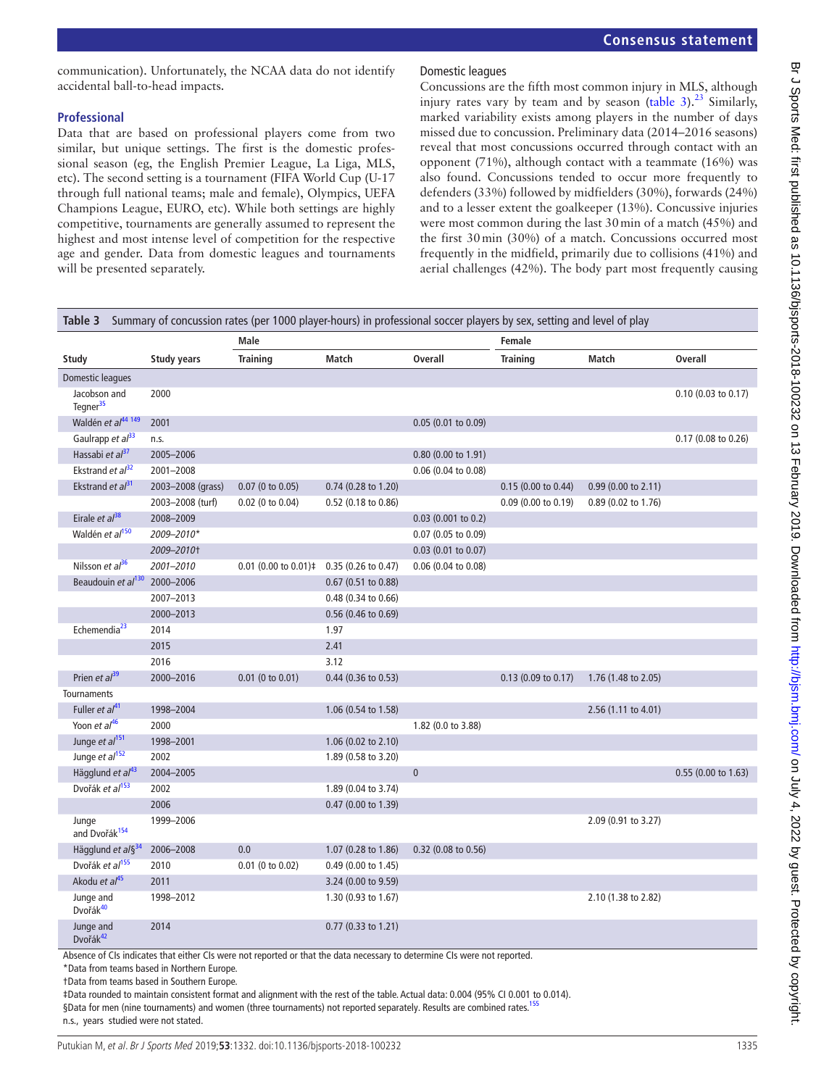communication). Unfortunately, the NCAA data do not identify accidental ball-to-head impacts.

## **Professional**

Data that are based on professional players come from two similar, but unique settings. The first is the domestic professional season (eg, the English Premier League, La Liga, MLS, etc). The second setting is a tournament (FIFA World Cup (U-17 through full national teams; male and female), Olympics, UEFA Champions League, EURO, etc). While both settings are highly competitive, tournaments are generally assumed to represent the highest and most intense level of competition for the respective age and gender. Data from domestic leagues and tournaments will be presented separately.

## Domestic leagues

Concussions are the fifth most common injury in MLS, although injury rates vary by team and by season  $(table 3)$  $(table 3)$ .<sup>23</sup> Similarly, marked variability exists among players in the number of days missed due to concussion. Preliminary data (2014–2016 seasons) reveal that most concussions occurred through contact with an opponent (71%), although contact with a teammate (16%) was also found. Concussions tended to occur more frequently to defenders (33%) followed by midfielders (30%), forwards (24%) and to a lesser extent the goalkeeper (13%). Concussive injuries were most common during the last 30min of a match (45%) and the first 30min (30%) of a match. Concussions occurred most frequently in the midfield, primarily due to collisions (41%) and aerial challenges (42%). The body part most frequently causing

## <span id="page-3-0"></span>**Table 3** Summary of concussion rates (per 1000 player-hours) in professional soccer players by sex, setting and level of play

|                                      |                    | Male                                             |                       |                       | Female                |                     |                     |
|--------------------------------------|--------------------|--------------------------------------------------|-----------------------|-----------------------|-----------------------|---------------------|---------------------|
| Study                                | <b>Study years</b> | <b>Training</b>                                  | <b>Match</b>          | <b>Overall</b>        | <b>Training</b>       | Match               | <b>Overall</b>      |
| Domestic leagues                     |                    |                                                  |                       |                       |                       |                     |                     |
| Jacobson and<br>Tegner <sup>35</sup> | 2000               |                                                  |                       |                       |                       |                     | 0.10 (0.03 to 0.17) |
| Waldén et al <sup>44 149</sup>       | 2001               |                                                  |                       | 0.05(0.01 to 0.09)    |                       |                     |                     |
| Gaulrapp et al <sup>33</sup>         | n.s.               |                                                  |                       |                       |                       |                     | 0.17 (0.08 to 0.26) |
| Hassabi et al <sup>37</sup>          | 2005-2006          |                                                  |                       | 0.80 (0.00 to 1.91)   |                       |                     |                     |
| Ekstrand et $al^{32}$                | 2001-2008          |                                                  |                       | 0.06 (0.04 to 0.08)   |                       |                     |                     |
| Ekstrand et $a^{31}$                 | 2003-2008 (grass)  | 0.07 (0 to 0.05)                                 | 0.74 (0.28 to 1.20)   |                       | 0.15 (0.00 to 0.44)   | 0.99 (0.00 to 2.11) |                     |
|                                      | 2003-2008 (turf)   | 0.02 (0 to 0.04)                                 | 0.52 (0.18 to 0.86)   |                       | $0.09$ (0.00 to 0.19) | 0.89 (0.02 to 1.76) |                     |
| Eirale et $al^{38}$                  | 2008-2009          |                                                  |                       | $0.03$ (0.001 to 0.2) |                       |                     |                     |
| Waldén et al <sup>150</sup>          | 2009-2010*         |                                                  |                       | 0.07 (0.05 to 0.09)   |                       |                     |                     |
|                                      | 2009-2010+         |                                                  |                       | $0.03$ (0.01 to 0.07) |                       |                     |                     |
| Nilsson et al <sup>36</sup>          | 2001-2010          | $0.01$ (0.00 to 0.01) $\neq$ 0.35 (0.26 to 0.47) |                       | 0.06 (0.04 to 0.08)   |                       |                     |                     |
| Beaudouin et al <sup>130</sup>       | 2000-2006          |                                                  | $0.67$ (0.51 to 0.88) |                       |                       |                     |                     |
|                                      | 2007-2013          |                                                  | 0.48 (0.34 to 0.66)   |                       |                       |                     |                     |
|                                      | 2000-2013          |                                                  | 0.56 (0.46 to 0.69)   |                       |                       |                     |                     |
| Echemendia <sup>23</sup>             | 2014               |                                                  | 1.97                  |                       |                       |                     |                     |
|                                      | 2015               |                                                  | 2.41                  |                       |                       |                     |                     |
|                                      | 2016               |                                                  | 3.12                  |                       |                       |                     |                     |
| Prien et $al^{39}$                   | 2000-2016          | 0.01 (0 to 0.01)                                 | $0.44$ (0.36 to 0.53) |                       | $0.13$ (0.09 to 0.17) | 1.76 (1.48 to 2.05) |                     |
| Tournaments                          |                    |                                                  |                       |                       |                       |                     |                     |
| Fuller et al <sup>41</sup>           | 1998-2004          |                                                  | 1.06 (0.54 to 1.58)   |                       |                       | 2.56 (1.11 to 4.01) |                     |
| Yoon et $al^{46}$                    | 2000               |                                                  |                       | 1.82 (0.0 to 3.88)    |                       |                     |                     |
| Junge et al <sup>151</sup>           | 1998-2001          |                                                  | 1.06 (0.02 to 2.10)   |                       |                       |                     |                     |
| Junge et al <sup>152</sup>           | 2002               |                                                  | 1.89 (0.58 to 3.20)   |                       |                       |                     |                     |
| Hägglund et al <sup>43</sup>         | 2004-2005          |                                                  |                       | $\mathbf{0}$          |                       |                     | 0.55 (0.00 to 1.63) |
| Dvořák et al <sup>153</sup>          | 2002               |                                                  | 1.89 (0.04 to 3.74)   |                       |                       |                     |                     |
|                                      | 2006               |                                                  | 0.47 (0.00 to 1.39)   |                       |                       |                     |                     |
| Junge<br>and Dvořák <sup>154</sup>   | 1999-2006          |                                                  |                       |                       |                       | 2.09 (0.91 to 3.27) |                     |
| Hägglund et al§ <sup>34</sup>        | 2006-2008          | 0.0                                              | 1.07 (0.28 to 1.86)   | $0.32$ (0.08 to 0.56) |                       |                     |                     |
| Dvořák et al <sup>155</sup>          | 2010               | 0.01 (0 to 0.02)                                 | 0.49 (0.00 to 1.45)   |                       |                       |                     |                     |
| Akodu et al <sup>45</sup>            | 2011               |                                                  | 3.24 (0.00 to 9.59)   |                       |                       |                     |                     |
| Junge and<br>Dvořák <sup>40</sup>    | 1998-2012          |                                                  | 1.30 (0.93 to 1.67)   |                       |                       | 2.10 (1.38 to 2.82) |                     |
| Junge and<br>Dvořák <sup>42</sup>    | 2014               |                                                  | 0.77 (0.33 to 1.21)   |                       |                       |                     |                     |

Absence of CIs indicates that either CIs were not reported or that the data necessary to determine CIs were not reported.

\*Data from teams based in Northern Europe.

†Data from teams based in Southern Europe.

‡Data rounded to maintain consistent format and alignment with the rest of the table. Actual data: 0.004 (95% CI 0.001 to 0.014).

§Data for men (nine tournaments) and women (three tournaments) not reported separately. Results are combined rates.<sup>[155](#page-13-18)</sup>

n.s., years studied were not stated.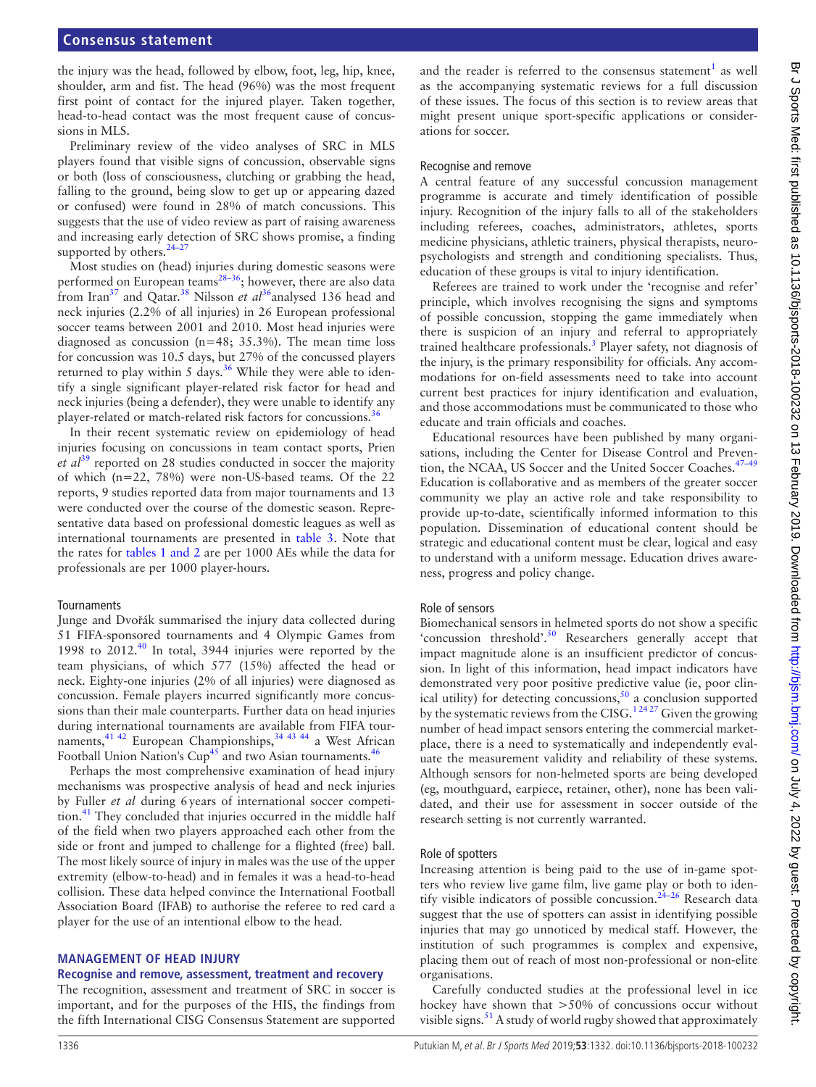the injury was the head, followed by elbow, foot, leg, hip, knee, shoulder, arm and fist. The head (96%) was the most frequent first point of contact for the injured player. Taken together, head-to-head contact was the most frequent cause of concussions in MLS.

Preliminary review of the video analyses of SRC in MLS players found that visible signs of concussion, observable signs or both (loss of consciousness, clutching or grabbing the head, falling to the ground, being slow to get up or appearing dazed or confused) were found in 28% of match concussions. This suggests that the use of video review as part of raising awareness and increasing early detection of SRC shows promise, a finding supported by others. $24-27$ 

Most studies on (head) injuries during domestic seasons were performed on European teams<sup>28–36</sup>; however, there are also data from Iran<sup>37</sup> and Qatar.<sup>[38](#page-11-28)</sup> Nilsson *et al*<sup>[36](#page-11-29)</sup>analysed 136 head and neck injuries (2.2% of all injuries) in 26 European professional soccer teams between 2001 and 2010. Most head injuries were diagnosed as concussion (n=48; 35.3%). The mean time loss for concussion was 10.5 days, but 27% of the concussed players returned to play within 5 days.<sup>36</sup> While they were able to identify a single significant player-related risk factor for head and neck injuries (being a defender), they were unable to identify any player-related or match-related risk factors for concussions.<sup>3</sup>

In their recent systematic review on epidemiology of head injuries focusing on concussions in team contact sports, Prien et al<sup>39</sup> reported on 28 studies conducted in soccer the majority of which (n=22, 78%) were non-US-based teams. Of the 22 reports, 9 studies reported data from major tournaments and 13 were conducted over the course of the domestic season. Representative data based on professional domestic leagues as well as international tournaments are presented in [table](#page-3-0) 3. Note that the rates for tables [1 and 2](#page-2-0) are per 1000 AEs while the data for professionals are per 1000 player-hours.

### **Tournaments**

Junge and Dvořák summarised the injury data collected during 51 FIFA-sponsored tournaments and 4 Olympic Games from 1998 to 2012.[40](#page-11-36) In total, 3944 injuries were reported by the team physicians, of which 577 (15%) affected the head or neck. Eighty-one injuries (2% of all injuries) were diagnosed as concussion. Female players incurred significantly more concussions than their male counterparts. Further data on head injuries during international tournaments are available from FIFA tournaments,<sup>41 42</sup> European Championships,<sup>34 43 44</sup> a West African Football Union Nation's Cup<sup>45</sup> and two Asian tournaments.<sup>[46](#page-12-0)</sup>

Perhaps the most comprehensive examination of head injury mechanisms was prospective analysis of head and neck injuries by Fuller *et al* during 6years of international soccer competition.<sup>41</sup> They concluded that injuries occurred in the middle half of the field when two players approached each other from the side or front and jumped to challenge for a flighted (free) ball. The most likely source of injury in males was the use of the upper extremity (elbow-to-head) and in females it was a head-to-head collision. These data helped convince the International Football Association Board (IFAB) to authorise the referee to red card a player for the use of an intentional elbow to the head.

#### **Management of head injury**

## **Recognise and remove, assessment, treatment and recovery**

The recognition, assessment and treatment of SRC in soccer is important, and for the purposes of the HIS, the findings from the fifth International CISG Consensus Statement are supported

and the reader is referred to the consensus statement<sup>[1](#page-11-0)</sup> as well as the accompanying systematic reviews for a full discussion of these issues. The focus of this section is to review areas that might present unique sport-specific applications or considerations for soccer.

#### Recognise and remove

A central feature of any successful concussion management programme is accurate and timely identification of possible injury. Recognition of the injury falls to all of the stakeholders including referees, coaches, administrators, athletes, sports medicine physicians, athletic trainers, physical therapists, neuropsychologists and strength and conditioning specialists. Thus, education of these groups is vital to injury identification.

Referees are trained to work under the 'recognise and refer' principle, which involves recognising the signs and symptoms of possible concussion, stopping the game immediately when there is suspicion of an injury and referral to appropriately trained healthcare professionals.<sup>[3](#page-11-2)</sup> Player safety, not diagnosis of the injury, is the primary responsibility for officials. Any accommodations for on-field assessments need to take into account current best practices for injury identification and evaluation, and those accommodations must be communicated to those who educate and train officials and coaches.

Educational resources have been published by many organisations, including the Center for Disease Control and Prevention, the NCAA, US Soccer and the United Soccer Coaches.<sup>47-49</sup> Education is collaborative and as members of the greater soccer community we play an active role and take responsibility to provide up-to-date, scientifically informed information to this population. Dissemination of educational content should be strategic and educational content must be clear, logical and easy to understand with a uniform message. Education drives awareness, progress and policy change.

### Role of sensors

Biomechanical sensors in helmeted sports do not show a specific 'concussion threshold'.<sup>[50](#page-12-2)</sup> Researchers generally accept that impact magnitude alone is an insufficient predictor of concussion. In light of this information, head impact indicators have demonstrated very poor positive predictive value (ie, poor clinical utility) for detecting concussions, $50$  a conclusion supported by the systematic reviews from the CISG.<sup>12427</sup> Given the growing number of head impact sensors entering the commercial marketplace, there is a need to systematically and independently evaluate the measurement validity and reliability of these systems. Although sensors for non-helmeted sports are being developed (eg, mouthguard, earpiece, retainer, other), none has been validated, and their use for assessment in soccer outside of the research setting is not currently warranted.

#### Role of spotters

Increasing attention is being paid to the use of in-game spotters who review live game film, live game play or both to identify visible indicators of possible concussion.<sup>24–26</sup> Research data suggest that the use of spotters can assist in identifying possible injuries that may go unnoticed by medical staff. However, the institution of such programmes is complex and expensive, placing them out of reach of most non-professional or non-elite organisations.

Carefully conducted studies at the professional level in ice hockey have shown that >50% of concussions occur without visible signs.<sup>[51](#page-12-3)</sup> A study of world rugby showed that approximately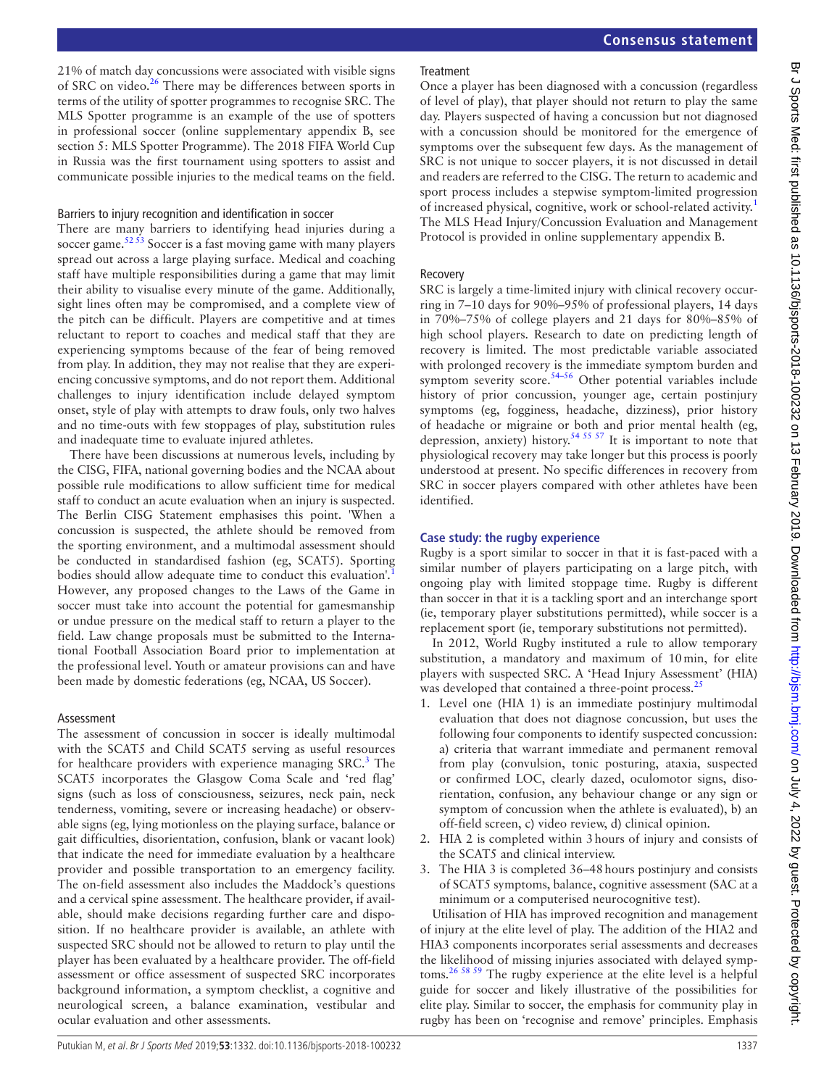21% of match day concussions were associated with visible signs of SRC on video.<sup>26</sup> There may be differences between sports in terms of the utility of spotter programmes to recognise SRC. The MLS Spotter programme is an example of the use of spotters in professional soccer (online [supplementary appendix B](https://dx.doi.org/10.1136/bjsports-2018-100232), see section 5: MLS Spotter Programme). The 2018 FIFA World Cup in Russia was the first tournament using spotters to assist and communicate possible injuries to the medical teams on the field. Barriers to injury recognition and identification in soccer There are many barriers to identifying head injuries during a soccer game.<sup>52 53</sup> Soccer is a fast moving game with many players spread out across a large playing surface. Medical and coaching staff have multiple responsibilities during a game that may limit their ability to visualise every minute of the game. Additionally, sight lines often may be compromised, and a complete view of the pitch can be difficult. Players are competitive and at times reluctant to report to coaches and medical staff that they are experiencing symptoms because of the fear of being removed from play. In addition, they may not realise that they are experiencing concussive symptoms, and do not report them. Additional challenges to injury identification include delayed symptom onset, style of play with attempts to draw fouls, only two halves and no time-outs with few stoppages of play, substitution rules and inadequate time to evaluate injured athletes. Recovery

There have been discussions at numerous levels, including by the CISG, FIFA, national governing bodies and the NCAA about possible rule modifications to allow sufficient time for medical staff to conduct an acute evaluation when an injury is suspected. The Berlin CISG Statement emphasises this point. 'When a concussion is suspected, the athlete should be removed from the sporting environment, and a multimodal assessment should be conducted in standardised fashion (eg, SCAT5). Sporting bodies should allow adequate time to conduct this evaluation'.<sup>1</sup> However, any proposed changes to the Laws of the Game in soccer must take into account the potential for gamesmanship or undue pressure on the medical staff to return a player to the field. Law change proposals must be submitted to the International Football Association Board prior to implementation at the professional level. Youth or amateur provisions can and have been made by domestic federations (eg, NCAA, US Soccer).

# Assessment

The assessment of concussion in soccer is ideally multimodal with the SCAT5 and Child SCAT5 serving as useful resources for healthcare providers with experience managing  $SRC<sup>3</sup>$  $SRC<sup>3</sup>$  $SRC<sup>3</sup>$ . The SCAT5 incorporates the Glasgow Coma Scale and 'red flag' signs (such as loss of consciousness, seizures, neck pain, neck tenderness, vomiting, severe or increasing headache) or observable signs (eg, lying motionless on the playing surface, balance or gait difficulties, disorientation, confusion, blank or vacant look) that indicate the need for immediate evaluation by a healthcare provider and possible transportation to an emergency facility. The on-field assessment also includes the Maddock's questions and a cervical spine assessment. The healthcare provider, if available, should make decisions regarding further care and disposition. If no healthcare provider is available, an athlete with suspected SRC should not be allowed to return to play until the player has been evaluated by a healthcare provider. The off-field assessment or office assessment of suspected SRC incorporates background information, a symptom checklist, a cognitive and neurological screen, a balance examination, vestibular and ocular evaluation and other assessments.

## Treatment

Once a player has been diagnosed with a concussion (regardless of level of play), that player should not return to play the same day. Players suspected of having a concussion but not diagnosed with a concussion should be monitored for the emergence of symptoms over the subsequent few days. As the management of SRC is not unique to soccer players, it is not discussed in detail and readers are referred to the CISG. The return to academic and sport process includes a stepwise symptom-limited progression of increased physical, cognitive, work or school-related activity.<sup>[1](#page-11-0)</sup> The MLS Head Injury/Concussion Evaluation and Management Protocol is provided in online [supplementary appendix B](https://dx.doi.org/10.1136/bjsports-2018-100232).

SRC is largely a time-limited injury with clinical recovery occurring in 7–10 days for 90%–95% of professional players, 14 days in 70%–75% of college players and 21 days for 80%–85% of high school players. Research to date on predicting length of recovery is limited. The most predictable variable associated with prolonged recovery is the immediate symptom burden and symptom severity score.<sup>[54–56](#page-12-5)</sup> Other potential variables include history of prior concussion, younger age, certain postinjury symptoms (eg, fogginess, headache, dizziness), prior history of headache or migraine or both and prior mental health (eg, depression, anxiety) history.<sup>[54 55 57](#page-12-5)</sup> It is important to note that physiological recovery may take longer but this process is poorly understood at present. No specific differences in recovery from SRC in soccer players compared with other athletes have been identified.

## **Case study: the rugby experience**

Rugby is a sport similar to soccer in that it is fast-paced with a similar number of players participating on a large pitch, with ongoing play with limited stoppage time. Rugby is different than soccer in that it is a tackling sport and an interchange sport (ie, temporary player substitutions permitted), while soccer is a replacement sport (ie, temporary substitutions not permitted).

In 2012, World Rugby instituted a rule to allow temporary substitution, a mandatory and maximum of 10min, for elite players with suspected SRC. A 'Head Injury Assessment' (HIA) was developed that contained a three-point process.<sup>[25](#page-11-41)</sup>

- 1. Level one (HIA 1) is an immediate postinjury multimodal evaluation that does not diagnose concussion, but uses the following four components to identify suspected concussion: a) criteria that warrant immediate and permanent removal from play (convulsion, tonic posturing, ataxia, suspected or confirmed LOC, clearly dazed, oculomotor signs, disorientation, confusion, any behaviour change or any sign or symptom of concussion when the athlete is evaluated), b) an off-field screen, c) video review, d) clinical opinion.
- 2. HIA 2 is completed within 3hours of injury and consists of the SCAT5 and clinical interview.
- 3. The HIA 3 is completed 36–48hours postinjury and consists of SCAT5 symptoms, balance, cognitive assessment (SAC at a minimum or a computerised neurocognitive test).

Utilisation of HIA has improved recognition and management of injury at the elite level of play. The addition of the HIA2 and HIA3 components incorporates serial assessments and decreases the likelihood of missing injuries associated with delayed symptoms.[26 58 59](#page-11-40) The rugby experience at the elite level is a helpful guide for soccer and likely illustrative of the possibilities for elite play. Similar to soccer, the emphasis for community play in rugby has been on 'recognise and remove' principles. Emphasis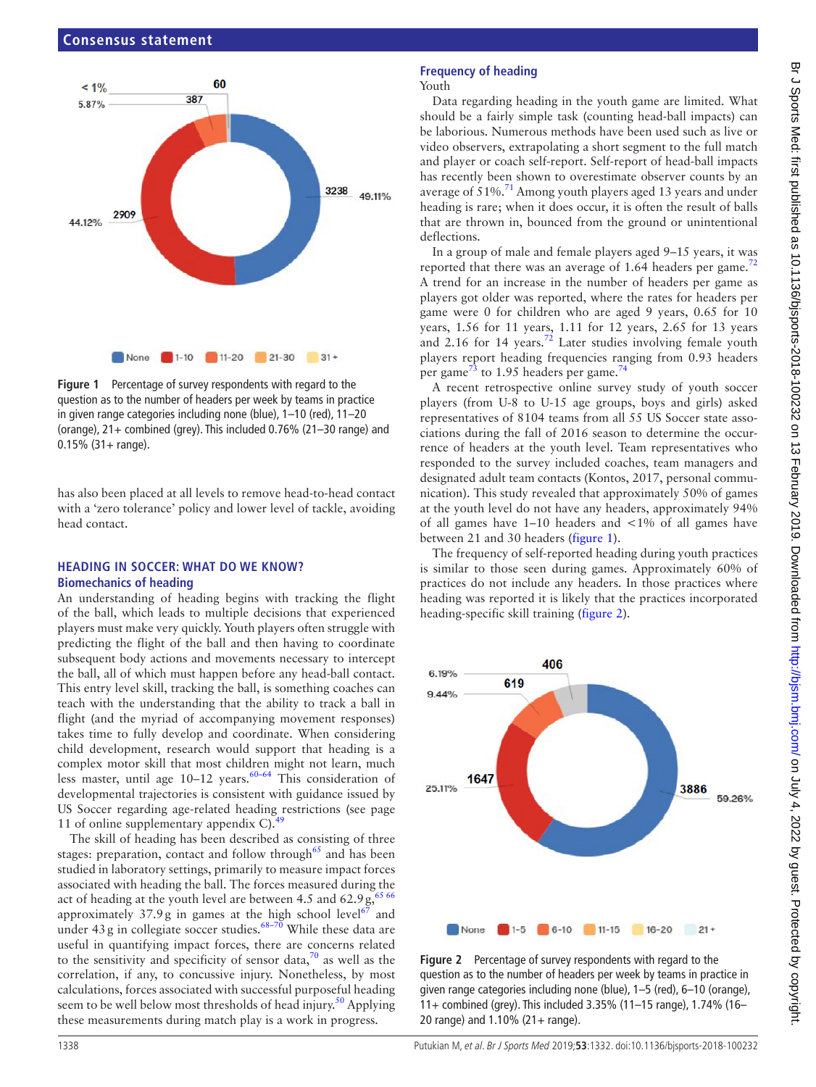

<span id="page-6-0"></span>**Figure 1** Percentage of survey respondents with regard to the question as to the number of headers per week by teams in practice in given range categories including none (blue), 1–10 (red), 11–20 (orange), 21+ combined (grey). This included 0.76% (21–30 range) and  $0.15\%$  (31+ range).

has also been placed at all levels to remove head-to-head contact with a 'zero tolerance' policy and lower level of tackle, avoiding head contact.

## **Heading in soccer: what do we know? Biomechanics of heading**

An understanding of heading begins with tracking the flight of the ball, which leads to multiple decisions that experienced players must make very quickly. Youth players often struggle with predicting the flight of the ball and then having to coordinate subsequent body actions and movements necessary to intercept the ball, all of which must happen before any head-ball contact. This entry level skill, tracking the ball, is something coaches can teach with the understanding that the ability to track a ball in flight (and the myriad of accompanying movement responses) takes time to fully develop and coordinate. When considering child development, research would support that heading is a complex motor skill that most children might not learn, much less master, until age  $10-12$  years.<sup>60-64</sup> This consideration of developmental trajectories is consistent with guidance issued by US Soccer regarding age-related heading restrictions (see page 11 of online supplementary appendix  $C$ ).<sup>49</sup>

The skill of heading has been described as consisting of three stages: preparation, contact and follow through<sup>65</sup> and has been studied in laboratory settings, primarily to measure impact forces associated with heading the ball. The forces measured during the act of heading at the youth level are between 4.5 and  $62.9 g<sub>5</sub>$ <sup>65</sup> approximately 37.9g in games at the high school level<sup>[67](#page-12-9)</sup> and under 43 g in collegiate soccer studies.  $68-70$  While these data are useful in quantifying impact forces, there are concerns related to the sensitivity and specificity of sensor data, $\frac{70}{10}$  as well as the correlation, if any, to concussive injury. Nonetheless, by most calculations, forces associated with successful purposeful heading seem to be well below most thresholds of head injury.<sup>50</sup> Applying these measurements during match play is a work in progress.

#### **Frequency of heading** Youth

Data regarding heading in the youth game are limited. What should be a fairly simple task (counting head-ball impacts) can be laborious. Numerous methods have been used such as live or video observers, extrapolating a short segment to the full match and player or coach self-report. Self-report of head-ball impacts has recently been shown to overestimate observer counts by an average of  $51\%$ .<sup>[71](#page-12-12)</sup> Among youth players aged 13 years and under heading is rare; when it does occur, it is often the result of balls that are thrown in, bounced from the ground or unintentional deflections.

In a group of male and female players aged 9–15 years, it was reported that there was an average of 1.64 headers per game. $72$ A trend for an increase in the number of headers per game as players got older was reported, where the rates for headers per game were 0 for children who are aged 9 years, 0.65 for 10 years, 1.56 for 11 years, 1.11 for 12 years, 2.65 for 13 years and 2.16 for 14 years.<sup>[72](#page-12-13)</sup> Later studies involving female youth players report heading frequencies ranging from 0.93 headers per game<sup>73</sup> to 1.95 headers per game.<sup>[74](#page-12-15)</sup>

A recent retrospective online survey study of youth soccer players (from U-8 to U-15 age groups, boys and girls) asked representatives of 8104 teams from all 55 US Soccer state associations during the fall of 2016 season to determine the occurrence of headers at the youth level. Team representatives who responded to the survey included coaches, team managers and designated adult team contacts (Kontos, 2017, personal communication). This study revealed that approximately 50% of games at the youth level do not have any headers, approximately 94% of all games have 1–10 headers and <1% of all games have between 21 and 30 headers ([figure](#page-6-0) 1).

The frequency of self-reported heading during youth practices is similar to those seen during games. Approximately 60% of practices do not include any headers. In those practices where heading was reported it is likely that the practices incorporated heading-specific skill training ([figure](#page-6-1) 2).



<span id="page-6-1"></span>**Figure 2** Percentage of survey respondents with regard to the question as to the number of headers per week by teams in practice in given range categories including none (blue), 1–5 (red), 6–10 (orange), 11+ combined (grey). This included 3.35% (11–15 range), 1.74% (16– 20 range) and  $1.10\%$  (21+ range).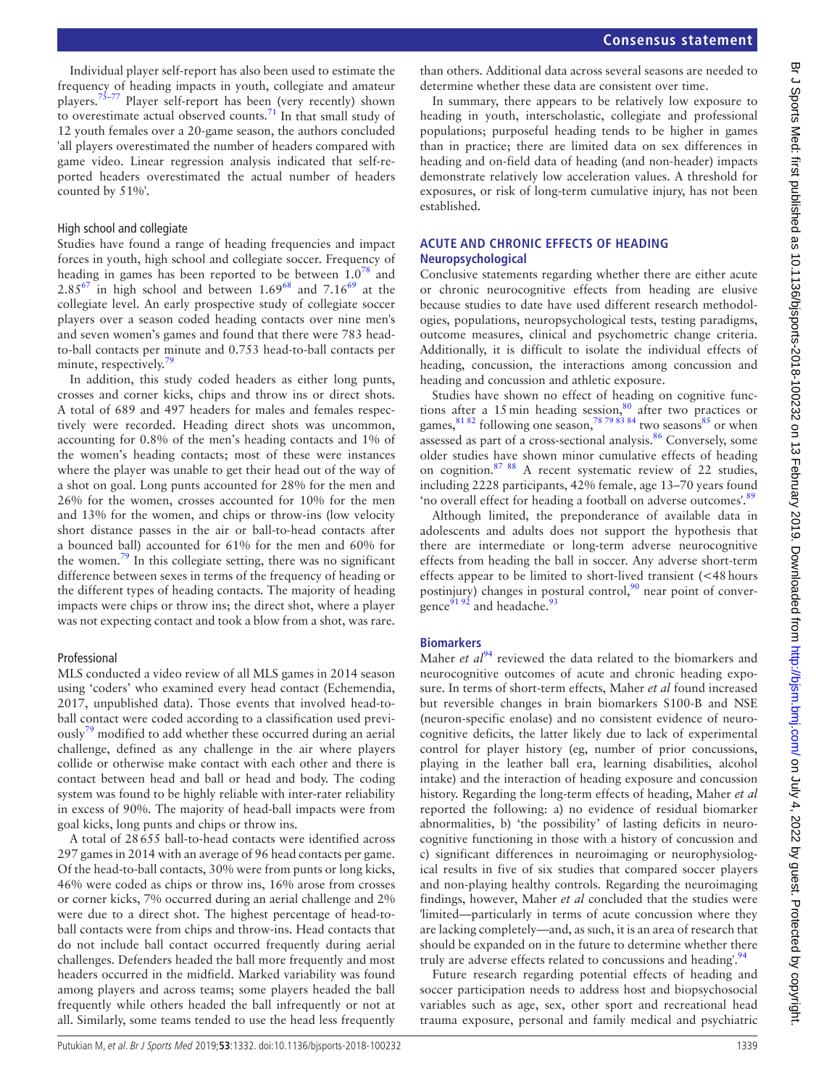Br J Sports Med: first published as 10.1136/bjsports-2018-100232 on 13 February 2019. Downloaded from http://bjsm.bmj.com/ on July 4, 2022 by guest. Protected by copyright Br J Sports Med: first published as 10.1136/bjsports-2018-100232 on 13 February 2019. Downloaded from <http://bjsm.bmj.com/> on July 4, 2022 by guest. Protected by copyright.

Individual player self-report has also been used to estimate the frequency of heading impacts in youth, collegiate and amateur players. $75-77$  Player self-report has been (very recently) shown to overestimate actual observed counts.[71](#page-12-12) In that small study of 12 youth females over a 20-game season, the authors concluded 'all players overestimated the number of headers compared with game video. Linear regression analysis indicated that self-reported headers overestimated the actual number of headers counted by 51%'.

## High school and collegiate

Studies have found a range of heading frequencies and impact forces in youth, high school and collegiate soccer. Frequency of heading in games has been reported to be between  $1.0^{78}$  $1.0^{78}$  $1.0^{78}$  and  $2.85<sup>67</sup>$  $2.85<sup>67</sup>$  $2.85<sup>67</sup>$  in high school and between  $1.69<sup>68</sup>$  $1.69<sup>68</sup>$  $1.69<sup>68</sup>$  and  $7.16<sup>69</sup>$  at the collegiate level. An early prospective study of collegiate soccer players over a season coded heading contacts over nine men's and seven women's games and found that there were 783 headto-ball contacts per minute and 0.753 head-to-ball contacts per minute, respectively.<sup>[79](#page-12-19)</sup>

In addition, this study coded headers as either long punts, crosses and corner kicks, chips and throw ins or direct shots. A total of 689 and 497 headers for males and females respectively were recorded. Heading direct shots was uncommon, accounting for 0.8% of the men's heading contacts and 1% of the women's heading contacts; most of these were instances where the player was unable to get their head out of the way of a shot on goal. Long punts accounted for 28% for the men and 26% for the women, crosses accounted for 10% for the men and 13% for the women, and chips or throw-ins (low velocity short distance passes in the air or ball-to-head contacts after a bounced ball) accounted for 61% for the men and 60% for the women. $\frac{79}{2}$  In this collegiate setting, there was no significant difference between sexes in terms of the frequency of heading or the different types of heading contacts. The majority of heading impacts were chips or throw ins; the direct shot, where a player was not expecting contact and took a blow from a shot, was rare.

## Professional

MLS conducted a video review of all MLS games in 2014 season using 'coders' who examined every head contact (Echemendia, 2017, unpublished data). Those events that involved head-toball contact were coded according to a classification used previously<sup>79</sup> modified to add whether these occurred during an aerial challenge, defined as any challenge in the air where players collide or otherwise make contact with each other and there is contact between head and ball or head and body. The coding system was found to be highly reliable with inter-rater reliability in excess of 90%. The majority of head-ball impacts were from goal kicks, long punts and chips or throw ins.

A total of 28655 ball-to-head contacts were identified across 297 games in 2014 with an average of 96 head contacts per game. Of the head-to-ball contacts, 30% were from punts or long kicks, 46% were coded as chips or throw ins, 16% arose from crosses or corner kicks, 7% occurred during an aerial challenge and 2% were due to a direct shot. The highest percentage of head-toball contacts were from chips and throw-ins. Head contacts that do not include ball contact occurred frequently during aerial challenges. Defenders headed the ball more frequently and most headers occurred in the midfield. Marked variability was found among players and across teams; some players headed the ball frequently while others headed the ball infrequently or not at all. Similarly, some teams tended to use the head less frequently

than others. Additional data across several seasons are needed to determine whether these data are consistent over time.

In summary, there appears to be relatively low exposure to heading in youth, interscholastic, collegiate and professional populations; purposeful heading tends to be higher in games than in practice; there are limited data on sex differences in heading and on-field data of heading (and non-header) impacts demonstrate relatively low acceleration values. A threshold for exposures, or risk of long-term cumulative injury, has not been established.

## **Acute and chronic effects of heading Neuropsychological**

Conclusive statements regarding whether there are either acute or chronic neurocognitive effects from heading are elusive because studies to date have used different research methodologies, populations, neuropsychological tests, testing paradigms, outcome measures, clinical and psychometric change criteria. Additionally, it is difficult to isolate the individual effects of heading, concussion, the interactions among concussion and heading and concussion and athletic exposure.

Studies have shown no effect of heading on cognitive functions after a 15 min heading session,  $80$  after two practices or games,  $8182$  following one season,<sup>78 79</sup> 83 84 two seasons<sup>85</sup> or when assessed as part of a cross-sectional analysis.<sup>86</sup> Conversely, some older studies have shown minor cumulative effects of heading on cognition.[87 88](#page-12-24) A recent systematic review of 22 studies, including 2228 participants, 42% female, age 13–70 years found 'no overall effect for heading a football on adverse outcomes'.[89](#page-12-25)

Although limited, the preponderance of available data in adolescents and adults does not support the hypothesis that there are intermediate or long-term adverse neurocognitive effects from heading the ball in soccer. Any adverse short-term effects appear to be limited to short-lived transient (<48hours postinjury) changes in postural control, $90$  near point of convergence $91\,92$  and headache. $93$ 

## **Biomarkers**

Maher *et al*<sup>94</sup> reviewed the data related to the biomarkers and neurocognitive outcomes of acute and chronic heading exposure. In terms of short-term effects, Maher *et al* found increased but reversible changes in brain biomarkers S100-B and NSE (neuron-specific enolase) and no consistent evidence of neurocognitive deficits, the latter likely due to lack of experimental control for player history (eg, number of prior concussions, playing in the leather ball era, learning disabilities, alcohol intake) and the interaction of heading exposure and concussion history. Regarding the long-term effects of heading, Maher *et al* reported the following: a) no evidence of residual biomarker abnormalities, b) 'the possibility' of lasting deficits in neurocognitive functioning in those with a history of concussion and c) significant differences in neuroimaging or neurophysiological results in five of six studies that compared soccer players and non-playing healthy controls. Regarding the neuroimaging findings, however, Maher *et al* concluded that the studies were 'limited—particularly in terms of acute concussion where they are lacking completely—and, as such, it is an area of research that should be expanded on in the future to determine whether there truly are adverse effects related to concussions and heading.<sup>[94](#page-12-29)</sup>

Future research regarding potential effects of heading and soccer participation needs to address host and biopsychosocial variables such as age, sex, other sport and recreational head trauma exposure, personal and family medical and psychiatric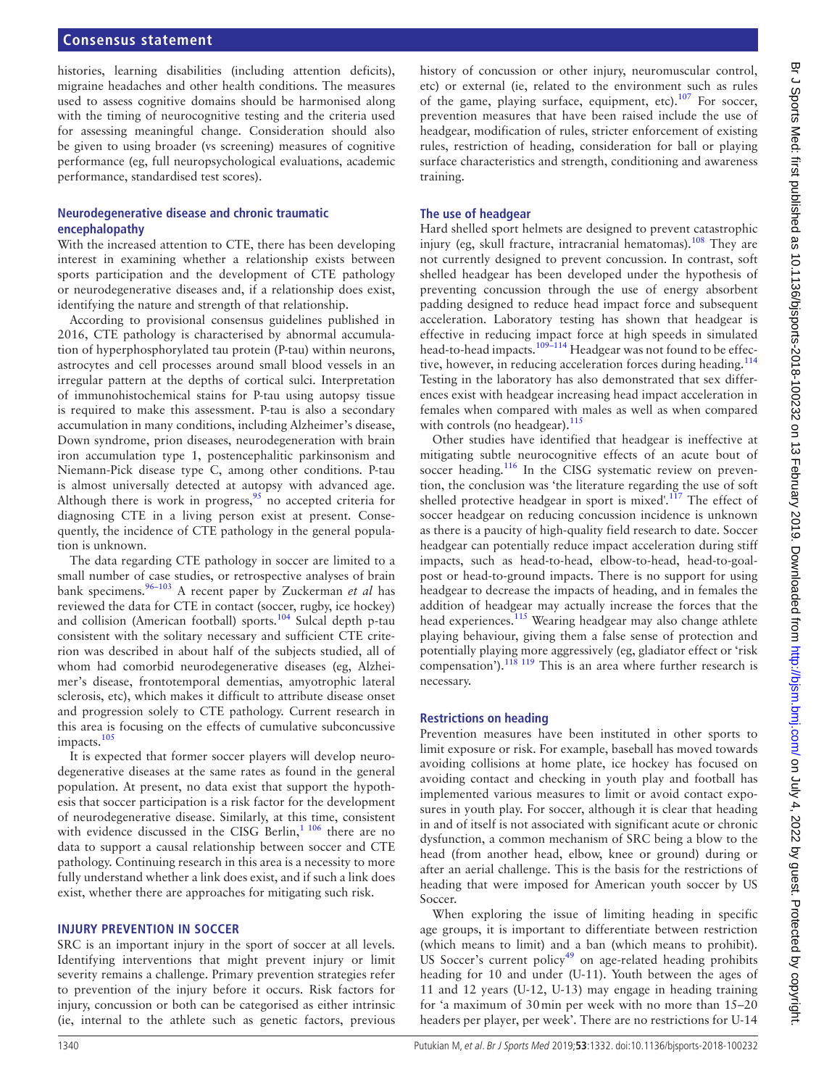## **Consensus statement**

histories, learning disabilities (including attention deficits), migraine headaches and other health conditions. The measures used to assess cognitive domains should be harmonised along with the timing of neurocognitive testing and the criteria used for assessing meaningful change. Consideration should also be given to using broader (vs screening) measures of cognitive performance (eg, full neuropsychological evaluations, academic performance, standardised test scores).

## **Neurodegenerative disease and chronic traumatic encephalopathy**

With the increased attention to CTE, there has been developing interest in examining whether a relationship exists between sports participation and the development of CTE pathology or neurodegenerative diseases and, if a relationship does exist, identifying the nature and strength of that relationship.

According to provisional consensus guidelines published in 2016, CTE pathology is characterised by abnormal accumulation of hyperphosphorylated tau protein (P-tau) within neurons, astrocytes and cell processes around small blood vessels in an irregular pattern at the depths of cortical sulci. Interpretation of immunohistochemical stains for P-tau using autopsy tissue is required to make this assessment. P-tau is also a secondary accumulation in many conditions, including Alzheimer's disease, Down syndrome, prion diseases, neurodegeneration with brain iron accumulation type 1, postencephalitic parkinsonism and Niemann-Pick disease type C, among other conditions. P-tau is almost universally detected at autopsy with advanced age. Although there is work in progress,  $95$  no accepted criteria for diagnosing CTE in a living person exist at present. Consequently, the incidence of CTE pathology in the general population is unknown.

The data regarding CTE pathology in soccer are limited to a small number of case studies, or retrospective analyses of brain bank specimens[.96–103](#page-12-31) A recent paper by Zuckerman *et al* has reviewed the data for CTE in contact (soccer, rugby, ice hockey) and collision (American football) sports.<sup>[104](#page-12-32)</sup> Sulcal depth p-tau consistent with the solitary necessary and sufficient CTE criterion was described in about half of the subjects studied, all of whom had comorbid neurodegenerative diseases (eg, Alzheimer's disease, frontotemporal dementias, amyotrophic lateral sclerosis, etc), which makes it difficult to attribute disease onset and progression solely to CTE pathology. Current research in this area is focusing on the effects of cumulative subconcussive impacts.<sup>[105](#page-12-33)</sup>

It is expected that former soccer players will develop neurodegenerative diseases at the same rates as found in the general population. At present, no data exist that support the hypothesis that soccer participation is a risk factor for the development of neurodegenerative disease. Similarly, at this time, consistent with evidence discussed in the CISG Berlin, $1106$  there are no data to support a causal relationship between soccer and CTE pathology. Continuing research in this area is a necessity to more fully understand whether a link does exist, and if such a link does exist, whether there are approaches for mitigating such risk.

#### **Injury prevention in soccer**

SRC is an important injury in the sport of soccer at all levels. Identifying interventions that might prevent injury or limit severity remains a challenge. Primary prevention strategies refer to prevention of the injury before it occurs. Risk factors for injury, concussion or both can be categorised as either intrinsic (ie, internal to the athlete such as genetic factors, previous

history of concussion or other injury, neuromuscular control, etc) or external (ie, related to the environment such as rules of the game, playing surface, equipment, etc).<sup>107</sup> For soccer, prevention measures that have been raised include the use of headgear, modification of rules, stricter enforcement of existing rules, restriction of heading, consideration for ball or playing surface characteristics and strength, conditioning and awareness training.

## **The use of headgear**

Hard shelled sport helmets are designed to prevent catastrophic injury (eg, skull fracture, intracranial hematomas).<sup>108</sup> They are not currently designed to prevent concussion. In contrast, soft shelled headgear has been developed under the hypothesis of preventing concussion through the use of energy absorbent padding designed to reduce head impact force and subsequent acceleration. Laboratory testing has shown that headgear is effective in reducing impact force at high speeds in simulated head-to-head impacts.<sup>109-114</sup> Headgear was not found to be effective, however, in reducing acceleration forces during heading.<sup>114</sup> Testing in the laboratory has also demonstrated that sex differences exist with headgear increasing head impact acceleration in females when compared with males as well as when compared with controls (no headgear). $^{115}$  $^{115}$  $^{115}$ 

Other studies have identified that headgear is ineffective at mitigating subtle neurocognitive effects of an acute bout of soccer heading.<sup>116</sup> In the CISG systematic review on prevention, the conclusion was 'the literature regarding the use of soft shelled protective headgear in sport is mixed'.<sup>[117](#page-13-25)</sup> The effect of soccer headgear on reducing concussion incidence is unknown as there is a paucity of high-quality field research to date. Soccer headgear can potentially reduce impact acceleration during stiff impacts, such as head-to-head, elbow-to-head, head-to-goalpost or head-to-ground impacts. There is no support for using headgear to decrease the impacts of heading, and in females the addition of headgear may actually increase the forces that the head experiences.<sup>115</sup> Wearing headgear may also change athlete playing behaviour, giving them a false sense of protection and potentially playing more aggressively (eg, gladiator effect or 'risk compensation').<sup>118</sup> <sup>119</sup> This is an area where further research is necessary.

## **Restrictions on heading**

Prevention measures have been instituted in other sports to limit exposure or risk. For example, baseball has moved towards avoiding collisions at home plate, ice hockey has focused on avoiding contact and checking in youth play and football has implemented various measures to limit or avoid contact exposures in youth play. For soccer, although it is clear that heading in and of itself is not associated with significant acute or chronic dysfunction, a common mechanism of SRC being a blow to the head (from another head, elbow, knee or ground) during or after an aerial challenge. This is the basis for the restrictions of heading that were imposed for American youth soccer by US Soccer.

When exploring the issue of limiting heading in specific age groups, it is important to differentiate between restriction (which means to limit) and a ban (which means to prohibit). US Soccer's current policy<sup>[49](#page-12-7)</sup> on age-related heading prohibits heading for 10 and under (U-11). Youth between the ages of 11 and 12 years (U-12, U-13) may engage in heading training for 'a maximum of 30min per week with no more than 15–20 headers per player, per week'. There are no restrictions for U-14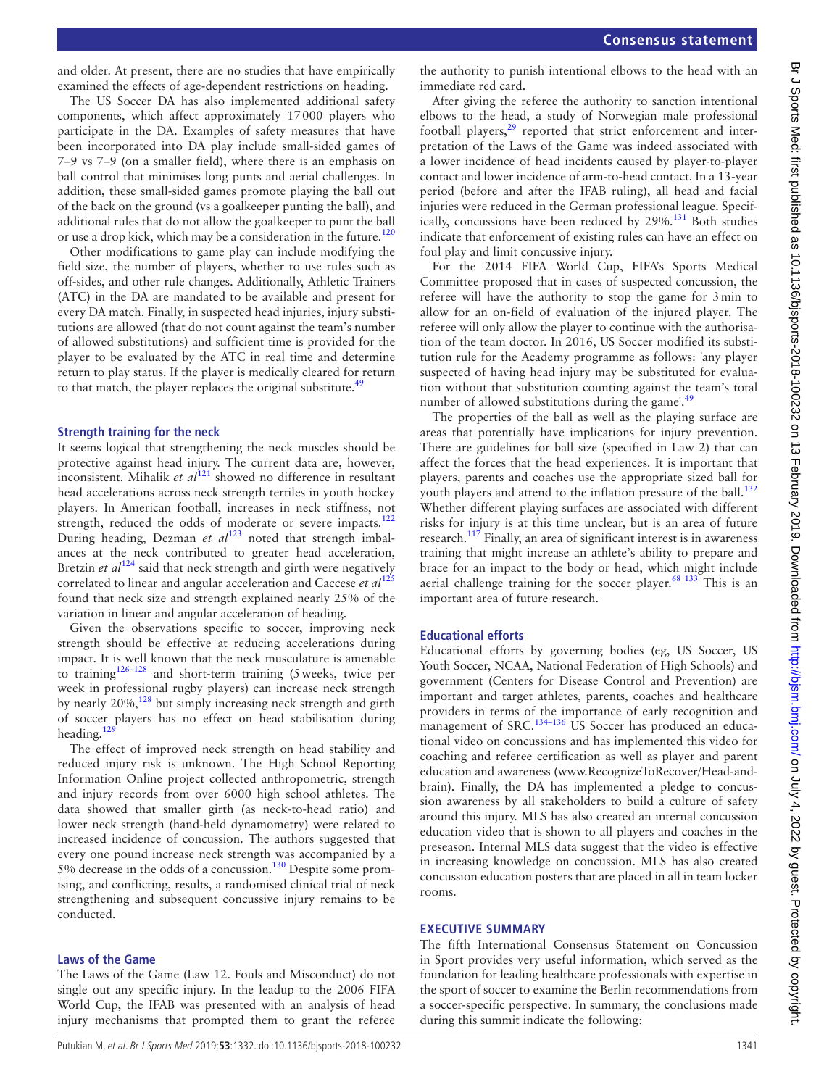and older. At present, there are no studies that have empirically examined the effects of age-dependent restrictions on heading.

The US Soccer DA has also implemented additional safety components, which affect approximately 17000 players who participate in the DA. Examples of safety measures that have been incorporated into DA play include small-sided games of 7–9 vs 7–9 (on a smaller field), where there is an emphasis on ball control that minimises long punts and aerial challenges. In addition, these small-sided games promote playing the ball out of the back on the ground (vs a goalkeeper punting the ball), and additional rules that do not allow the goalkeeper to punt the ball or use a drop kick, which may be a consideration in the future.<sup>[120](#page-13-27)</sup>

Other modifications to game play can include modifying the field size, the number of players, whether to use rules such as off-sides, and other rule changes. Additionally, Athletic Trainers (ATC) in the DA are mandated to be available and present for every DA match. Finally, in suspected head injuries, injury substitutions are allowed (that do not count against the team's number of allowed substitutions) and sufficient time is provided for the player to be evaluated by the ATC in real time and determine return to play status. If the player is medically cleared for return to that match, the player replaces the original substitute.<sup>49</sup>

#### **Strength training for the neck**

It seems logical that strengthening the neck muscles should be protective against head injury. The current data are, however, inconsistent. Mihalik *et al*<sup>[121](#page-13-28)</sup> showed no difference in resultant head accelerations across neck strength tertiles in youth hockey players. In American football, increases in neck stiffness, not strength, reduced the odds of moderate or severe impacts.<sup>[122](#page-13-29)</sup> During heading, Dezman et al<sup>123</sup> noted that strength imbalances at the neck contributed to greater head acceleration, Bretzin *et al*[124](#page-13-31) said that neck strength and girth were negatively correlated to linear and angular acceleration and Caccese *et al*[125](#page-13-32) found that neck size and strength explained nearly 25% of the variation in linear and angular acceleration of heading.

Given the observations specific to soccer, improving neck strength should be effective at reducing accelerations during impact. It is well known that the neck musculature is amenable to training<sup>126–128</sup> and short-term training (5 weeks, twice per week in professional rugby players) can increase neck strength by nearly 20%,<sup>128</sup> but simply increasing neck strength and girth of soccer players has no effect on head stabilisation during heading.<sup>[129](#page-13-35)</sup>

The effect of improved neck strength on head stability and reduced injury risk is unknown. The High School Reporting Information Online project collected anthropometric, strength and injury records from over 6000 high school athletes. The data showed that smaller girth (as neck-to-head ratio) and lower neck strength (hand-held dynamometry) were related to increased incidence of concussion. The authors suggested that every one pound increase neck strength was accompanied by a 5% decrease in the odds of a concussion.[130](#page-13-13) Despite some promising, and conflicting, results, a randomised clinical trial of neck strengthening and subsequent concussive injury remains to be conducted.

#### **Laws of the Game**

The Laws of the Game (Law 12. Fouls and Misconduct) do not single out any specific injury. In the leadup to the 2006 FIFA World Cup, the IFAB was presented with an analysis of head injury mechanisms that prompted them to grant the referee

the authority to punish intentional elbows to the head with an immediate red card.

After giving the referee the authority to sanction intentional elbows to the head, a study of Norwegian male professional football players,<sup>29</sup> reported that strict enforcement and interpretation of the Laws of the Game was indeed associated with a lower incidence of head incidents caused by player-to-player contact and lower incidence of arm-to-head contact. In a 13-year period (before and after the IFAB ruling), all head and facial injuries were reduced in the German professional league. Specifically, concussions have been reduced by  $29\%$ .<sup>[131](#page-13-36)</sup> Both studies indicate that enforcement of existing rules can have an effect on foul play and limit concussive injury.

For the 2014 FIFA World Cup, FIFA's Sports Medical Committee proposed that in cases of suspected concussion, the referee will have the authority to stop the game for 3min to allow for an on-field of evaluation of the injured player. The referee will only allow the player to continue with the authorisation of the team doctor. In 2016, US Soccer modified its substitution rule for the Academy programme as follows: 'any player suspected of having head injury may be substituted for evaluation without that substitution counting against the team's total number of allowed substitutions during the game'.<sup>[49](#page-12-7)</sup>

The properties of the ball as well as the playing surface are areas that potentially have implications for injury prevention. There are guidelines for ball size (specified in Law 2) that can affect the forces that the head experiences. It is important that players, parents and coaches use the appropriate sized ball for youth players and attend to the inflation pressure of the ball.<sup>132</sup> Whether different playing surfaces are associated with different risks for injury is at this time unclear, but is an area of future research.<sup>[117](#page-13-25)</sup> Finally, an area of significant interest is in awareness training that might increase an athlete's ability to prepare and brace for an impact to the body or head, which might include aerial challenge training for the soccer player.<sup>68 133</sup> This is an important area of future research.

### **Educational efforts**

Educational efforts by governing bodies (eg, US Soccer, US Youth Soccer, NCAA, National Federation of High Schools) and government (Centers for Disease Control and Prevention) are important and target athletes, parents, coaches and healthcare providers in terms of the importance of early recognition and management of SRC.<sup>134-136</sup> US Soccer has produced an educational video on concussions and has implemented this video for coaching and referee certification as well as player and parent education and awareness (www.RecognizeToRecover/Head-andbrain). Finally, the DA has implemented a pledge to concussion awareness by all stakeholders to build a culture of safety around this injury. MLS has also created an internal concussion education video that is shown to all players and coaches in the preseason. Internal MLS data suggest that the video is effective in increasing knowledge on concussion. MLS has also created concussion education posters that are placed in all in team locker rooms.

#### **Executive summary**

The fifth International Consensus Statement on Concussion in Sport provides very useful information, which served as the foundation for leading healthcare professionals with expertise in the sport of soccer to examine the Berlin recommendations from a soccer-specific perspective. In summary, the conclusions made during this summit indicate the following: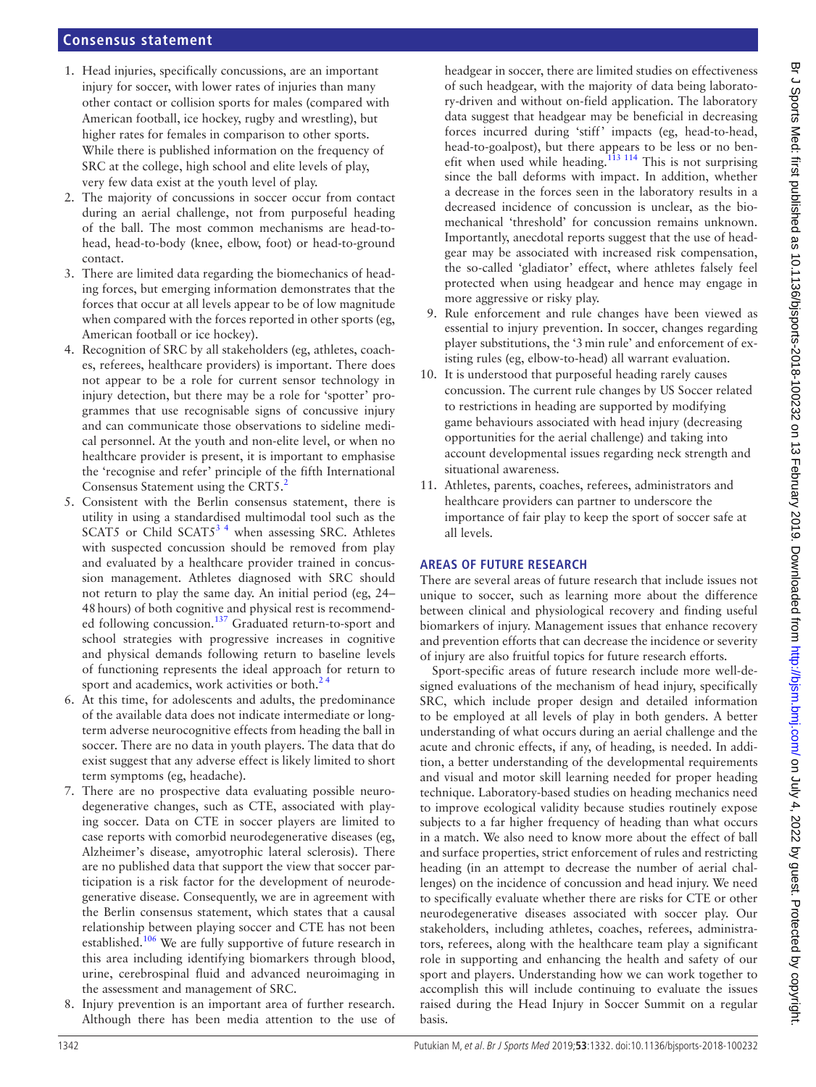- 1. Head injuries, specifically concussions, are an important injury for soccer, with lower rates of injuries than many other contact or collision sports for males (compared with American football, ice hockey, rugby and wrestling), but higher rates for females in comparison to other sports. While there is published information on the frequency of SRC at the college, high school and elite levels of play, very few data exist at the youth level of play.
- 2. The majority of concussions in soccer occur from contact during an aerial challenge, not from purposeful heading of the ball. The most common mechanisms are head-tohead, head-to-body (knee, elbow, foot) or head-to-ground contact.
- 3. There are limited data regarding the biomechanics of heading forces, but emerging information demonstrates that the forces that occur at all levels appear to be of low magnitude when compared with the forces reported in other sports (eg, American football or ice hockey).
- 4. Recognition of SRC by all stakeholders (eg, athletes, coaches, referees, healthcare providers) is important. There does not appear to be a role for current sensor technology in injury detection, but there may be a role for 'spotter' programmes that use recognisable signs of concussive injury and can communicate those observations to sideline medical personnel. At the youth and non-elite level, or when no healthcare provider is present, it is important to emphasise the 'recognise and refer' principle of the fifth International Consensus Statement using the CRT5.<sup>[2](#page-11-1)</sup>
- 5. Consistent with the Berlin consensus statement, there is utility in using a standardised multimodal tool such as the SCAT5 or Child SCAT5<sup>34</sup> when assessing SRC. Athletes with suspected concussion should be removed from play and evaluated by a healthcare provider trained in concussion management. Athletes diagnosed with SRC should not return to play the same day. An initial period (eg, 24– 48hours) of both cognitive and physical rest is recommended following concussion.<sup>137</sup> Graduated return-to-sport and school strategies with progressive increases in cognitive and physical demands following return to baseline levels of functioning represents the ideal approach for return to sport and academics, work activities or both. $2<sup>4</sup>$
- 6. At this time, for adolescents and adults, the predominance of the available data does not indicate intermediate or longterm adverse neurocognitive effects from heading the ball in soccer. There are no data in youth players. The data that do exist suggest that any adverse effect is likely limited to short term symptoms (eg, headache).
- 7. There are no prospective data evaluating possible neurodegenerative changes, such as CTE, associated with playing soccer. Data on CTE in soccer players are limited to case reports with comorbid neurodegenerative diseases (eg, Alzheimer's disease, amyotrophic lateral sclerosis). There are no published data that support the view that soccer participation is a risk factor for the development of neurodegenerative disease. Consequently, we are in agreement with the Berlin consensus statement, which states that a causal relationship between playing soccer and CTE has not been established.<sup>106</sup> We are fully supportive of future research in this area including identifying biomarkers through blood, urine, cerebrospinal fluid and advanced neuroimaging in the assessment and management of SRC.
- 8. Injury prevention is an important area of further research. Although there has been media attention to the use of

headgear in soccer, there are limited studies on effectiveness of such headgear, with the majority of data being laboratory-driven and without on-field application. The laboratory data suggest that headgear may be beneficial in decreasing forces incurred during 'stiff' impacts (eg, head-to-head, head-to-goalpost), but there appears to be less or no benefit when used while heading.<sup>113 114</sup> This is not surprising since the ball deforms with impact. In addition, whether a decrease in the forces seen in the laboratory results in a decreased incidence of concussion is unclear, as the biomechanical 'threshold' for concussion remains unknown. Importantly, anecdotal reports suggest that the use of headgear may be associated with increased risk compensation, the so-called 'gladiator' effect, where athletes falsely feel protected when using headgear and hence may engage in more aggressive or risky play.

- 9. Rule enforcement and rule changes have been viewed as essential to injury prevention. In soccer, changes regarding player substitutions, the '3min rule' and enforcement of existing rules (eg, elbow-to-head) all warrant evaluation.
- 10. It is understood that purposeful heading rarely causes concussion. The current rule changes by US Soccer related to restrictions in heading are supported by modifying game behaviours associated with head injury (decreasing opportunities for the aerial challenge) and taking into account developmental issues regarding neck strength and situational awareness.
- 11. Athletes, parents, coaches, referees, administrators and healthcare providers can partner to underscore the importance of fair play to keep the sport of soccer safe at all levels.

## **Areas of future research**

There are several areas of future research that include issues not unique to soccer, such as learning more about the difference between clinical and physiological recovery and finding useful biomarkers of injury. Management issues that enhance recovery and prevention efforts that can decrease the incidence or severity of injury are also fruitful topics for future research efforts.

Sport-specific areas of future research include more well-designed evaluations of the mechanism of head injury, specifically SRC, which include proper design and detailed information to be employed at all levels of play in both genders. A better understanding of what occurs during an aerial challenge and the acute and chronic effects, if any, of heading, is needed. In addition, a better understanding of the developmental requirements and visual and motor skill learning needed for proper heading technique. Laboratory-based studies on heading mechanics need to improve ecological validity because studies routinely expose subjects to a far higher frequency of heading than what occurs in a match. We also need to know more about the effect of ball and surface properties, strict enforcement of rules and restricting heading (in an attempt to decrease the number of aerial challenges) on the incidence of concussion and head injury. We need to specifically evaluate whether there are risks for CTE or other neurodegenerative diseases associated with soccer play. Our stakeholders, including athletes, coaches, referees, administrators, referees, along with the healthcare team play a significant role in supporting and enhancing the health and safety of our sport and players. Understanding how we can work together to accomplish this will include continuing to evaluate the issues raised during the Head Injury in Soccer Summit on a regular basis.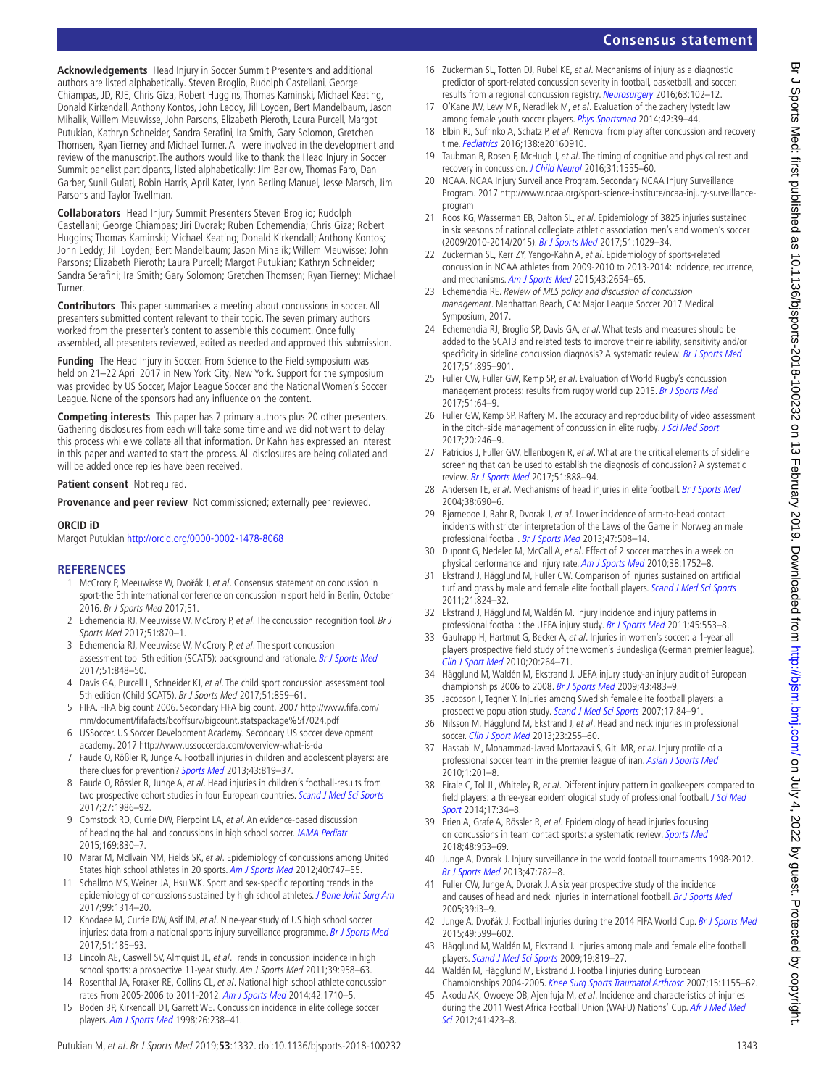# **Consensus statement**

**Acknowledgements** Head Injury in Soccer Summit Presenters and additional authors are listed alphabetically. Steven Broglio, Rudolph Castellani, George Chiampas, JD, RJE, Chris Giza, Robert Huggins, Thomas Kaminski, Michael Keating, Donald Kirkendall, Anthony Kontos, John Leddy, Jill Loyden, Bert Mandelbaum, Jason Mihalik, Willem Meuwisse, John Parsons, Elizabeth Pieroth, Laura Purcell, Margot Putukian, Kathryn Schneider, Sandra Serafini, Ira Smith, Gary Solomon, Gretchen Thomsen, Ryan Tierney and Michael Turner. All were involved in the development and review of the manuscript.The authors would like to thank the Head Injury in Soccer Summit panelist participants, listed alphabetically: Jim Barlow, Thomas Faro, Dan Garber, Sunil Gulati, Robin Harris, April Kater, Lynn Berling Manuel, Jesse Marsch, Jim Parsons and Taylor Twellman.

**Collaborators** Head Injury Summit Presenters Steven Broglio; Rudolph Castellani; George Chiampas; Jiri Dvorak; Ruben Echemendia; Chris Giza; Robert Huggins; Thomas Kaminski; Michael Keating; Donald Kirkendall; Anthony Kontos; John Leddy; Jill Loyden; Bert Mandelbaum; Jason Mihalik; Willem Meuwisse; John Parsons; Elizabeth Pieroth; Laura Purcell; Margot Putukian; Kathryn Schneider; Sandra Serafini; Ira Smith; Gary Solomon; Gretchen Thomsen; Ryan Tierney; Michael Turner.

**Contributors** This paper summarises a meeting about concussions in soccer. All presenters submitted content relevant to their topic. The seven primary authors worked from the presenter's content to assemble this document. Once fully assembled, all presenters reviewed, edited as needed and approved this submission.

**Funding** The Head Injury in Soccer: From Science to the Field symposium was held on 21–22 April 2017 in New York City, New York. Support for the symposium was provided by US Soccer, Major League Soccer and the National Women's Soccer League. None of the sponsors had any influence on the content.

**Competing interests** This paper has 7 primary authors plus 20 other presenters. Gathering disclosures from each will take some time and we did not want to delay this process while we collate all that information. Dr Kahn has expressed an interest in this paper and wanted to start the process. All disclosures are being collated and will be added once replies have been received.

#### **Patient consent** Not required.

**Provenance and peer review** Not commissioned; externally peer reviewed.

#### **ORCID iD**

Margot Putukian <http://orcid.org/0000-0002-1478-8068>

#### **References**

- <span id="page-11-0"></span>1 McCrory P, Meeuwisse W, Dvořák J, et al. Consensus statement on concussion in sport-the 5th international conference on concussion in sport held in Berlin, October 2016. Br J Sports Med 2017;51.
- <span id="page-11-1"></span>2 Echemendia RJ, Meeuwisse W, McCrory P, et al. The concussion recognition tool. Br J Sports Med 2017;51:870–1.
- <span id="page-11-2"></span>3 Echemendia RJ, Meeuwisse W, McCrory P, et al. The sport concussion assessment tool 5th edition (SCAT5): background and rationale. [Br J Sports Med](http://dx.doi.org/10.1136/bjsports-2017-097506) 2017;51:848–50.
- <span id="page-11-3"></span>4 Davis GA, Purcell L, Schneider KJ, et al. The child sport concussion assessment tool 5th edition (Child SCAT5). Br J Sports Med 2017;51:859–61.
- <span id="page-11-4"></span>5 FIFA. FIFA big count 2006. Secondary FIFA big count. 2007 [http://www.fifa.com/](http://www.fifa.com/mm/document/fifafacts/bcoffsurv/bigcount.statspackage%5f7024.pdf) [mm/document/fifafacts/bcoffsurv/bigcount.statspackage%5f7024.pdf](http://www.fifa.com/mm/document/fifafacts/bcoffsurv/bigcount.statspackage%5f7024.pdf)
- <span id="page-11-5"></span>6 USSoccer. US Soccer Development Academy. Secondary US soccer development academy. 2017 <http://www.ussoccerda.com/overview-what-is-da>
- <span id="page-11-6"></span>7 Faude O, Rößler R, Junge A. Football injuries in children and adolescent players: are there clues for prevention? [Sports Med](http://dx.doi.org/10.1007/s40279-013-0061-x) 2013;43:819-37.
- <span id="page-11-7"></span>8 Faude O, Rössler R, Junge A, et al. Head injuries in children's football-results from two prospective cohort studies in four European countries. [Scand J Med Sci Sports](http://dx.doi.org/10.1111/sms.12839) 2017;27:1986–92.
- <span id="page-11-8"></span>9 Comstock RD, Currie DW, Pierpoint LA, et al. An evidence-based discussion of heading the ball and concussions in high school soccer. [JAMA Pediatr](http://dx.doi.org/10.1001/jamapediatrics.2015.1062) 2015;169:830–7.
- <span id="page-11-9"></span>10 Marar M, McIlvain NM, Fields SK, et al. Epidemiology of concussions among United States high school athletes in 20 sports. [Am J Sports Med](http://dx.doi.org/10.1177/0363546511435626) 2012;40:747-55.
- <span id="page-11-10"></span>11 Schallmo MS, Weiner JA, Hsu WK. Sport and sex-specific reporting trends in the epidemiology of concussions sustained by high school athletes. [J Bone Joint Surg Am](http://dx.doi.org/10.2106/JBJS.16.01573) 2017;99:1314–20.
- <span id="page-11-11"></span>12 Khodaee M, Currie DW, Asif IM, et al. Nine-year study of US high school soccer injuries: data from a national sports injury surveillance programme. [Br J Sports Med](http://dx.doi.org/10.1136/bjsports-2015-095946) 2017;51:185–93.
- <span id="page-11-12"></span>13 Lincoln AE, Caswell SV, Almquist JL, et al. Trends in concussion incidence in high school sports: a prospective 11-year study. Am J Sports Med 2011;39:958-63.
- <span id="page-11-13"></span>14 Rosenthal JA, Foraker RE, Collins CL, et al. National high school athlete concussion rates From 2005-2006 to 2011-2012. [Am J Sports Med](http://dx.doi.org/10.1177/0363546514530091) 2014;42:1710–5.
- <span id="page-11-14"></span>15 Boden BP, Kirkendall DT, Garrett WE. Concussion incidence in elite college soccer players. [Am J Sports Med](http://dx.doi.org/10.1177/03635465980260021301) 1998;26:238–41.
- <span id="page-11-15"></span>16 Zuckerman SL, Totten DJ, Rubel KE, et al. Mechanisms of injury as a diagnostic predictor of sport-related concussion severity in football, basketball, and soccer: results from a regional concussion registry. [Neurosurgery](http://dx.doi.org/10.1227/NEU.0000000000001280) 2016;63:102-12.
- <span id="page-11-18"></span>17 O'Kane JW, Levy MR, Neradilek M, et al. Evaluation of the zachery lystedt law among female youth soccer players. [Phys Sportsmed](http://dx.doi.org/10.3810/psm.2014.09.2074) 2014;42:39-44.
- <span id="page-11-19"></span>18 Elbin RJ, Sufrinko A, Schatz P, et al. Removal from play after concussion and recovery time. [Pediatrics](http://dx.doi.org/10.1542/peds.2016-0910) 2016;138:e20160910.
- <span id="page-11-20"></span>19 Taubman B, Rosen F, McHugh J, et al. The timing of cognitive and physical rest and recovery in concussion. [J Child Neurol](http://dx.doi.org/10.1177/0883073816664835) 2016;31:1555-60.
- <span id="page-11-21"></span>20 NCAA. NCAA Injury Surveillance Program. Secondary NCAA Injury Surveillance Program. 2017 [http://www.ncaa.org/sport-science-institute/ncaa-injury-surveillance](http://www.ncaa.org/sport-science-institute/ncaa-injury-surveillance-program)[program](http://www.ncaa.org/sport-science-institute/ncaa-injury-surveillance-program)
- <span id="page-11-17"></span>21 Roos KG, Wasserman EB, Dalton SL, et al. Epidemiology of 3825 injuries sustained in six seasons of national collegiate athletic association men's and women's soccer (2009/2010-2014/2015). [Br J Sports Med](http://dx.doi.org/10.1136/bjsports-2015-095718) 2017;51:1029–34.
- <span id="page-11-16"></span>22 Zuckerman SL, Kerr ZY, Yengo-Kahn A, et al. Epidemiology of sports-related concussion in NCAA athletes from 2009-2010 to 2013-2014: incidence, recurrence, and mechanisms. [Am J Sports Med](http://dx.doi.org/10.1177/0363546515599634) 2015;43:2654–65.
- <span id="page-11-30"></span>23 Echemendia RE. Review of MLS policy and discussion of concussion management. Manhattan Beach, CA: Major League Soccer 2017 Medical Symposium, 2017.
- <span id="page-11-38"></span>24 Echemendia RJ, Broglio SP, Davis GA, et al. What tests and measures should be added to the SCAT3 and related tests to improve their reliability, sensitivity and/or specificity in sideline concussion diagnosis? A systematic review. [Br J Sports Med](http://dx.doi.org/10.1136/bjsports-2016-097466) 2017;51:895–901.
- <span id="page-11-41"></span>25 Fuller CW, Fuller GW, Kemp SP, et al. Evaluation of World Rugby's concussion management process: results from rugby world cup 2015. [Br J Sports Med](http://dx.doi.org/10.1136/bjsports-2016-096461) 2017;51:64–9.
- <span id="page-11-40"></span>26 Fuller GW, Kemp SP, Raftery M. The accuracy and reproducibility of video assessment in the pitch-side management of concussion in elite rugby. [J Sci Med Sport](http://dx.doi.org/10.1016/j.jsams.2016.07.008) 2017;20:246–9.
- 27 Patricios J, Fuller GW, Ellenbogen R, et al. What are the critical elements of sideline screening that can be used to establish the diagnosis of concussion? A systematic review. [Br J Sports Med](http://dx.doi.org/10.1136/bjsports-2016-097441) 2017;51:888–94.
- <span id="page-11-39"></span>28 Andersen TE, et al. Mechanisms of head injuries in elite football. [Br J Sports Med](http://dx.doi.org/10.1136/bjsm.2003.009357) 2004;38:690–6.
- <span id="page-11-42"></span>29 Bjørneboe J, Bahr R, Dvorak J, et al. Lower incidence of arm-to-head contact incidents with stricter interpretation of the Laws of the Game in Norwegian male professional football. [Br J Sports Med](http://dx.doi.org/10.1136/bjsports-2012-091522) 2013;47:508-14.
- 30 Dupont G, Nedelec M, McCall A, et al. Effect of 2 soccer matches in a week on physical performance and injury rate. [Am J Sports Med](http://dx.doi.org/10.1177/0363546510361236) 2010;38:1752-8.
- <span id="page-11-27"></span>31 Ekstrand J, Hägglund M, Fuller CW. Comparison of injuries sustained on artificial turf and grass by male and female elite football players. [Scand J Med Sci Sports](http://dx.doi.org/10.1111/j.1600-0838.2010.01118.x) 2011;21:824–32.
- <span id="page-11-26"></span>32 Ekstrand J, Hägglund M, Waldén M. Injury incidence and injury patterns in professional football: the UEFA injury study. [Br J Sports Med](http://dx.doi.org/10.1136/bjsm.2009.060582) 2011;45:553-8.
- <span id="page-11-24"></span>33 Gaulrapp H, Hartmut G, Becker A, et al. Injuries in women's soccer: a 1-year all players prospective field study of the women's Bundesliga (German premier league). [Clin J Sport Med](http://dx.doi.org/10.1097/JSM.0b013e3181e78e33) 2010;20:264–71.
- <span id="page-11-34"></span>34 Hägglund M, Waldén M, Ekstrand J. UEFA injury study-an injury audit of European championships 2006 to 2008. [Br J Sports Med](http://dx.doi.org/10.1136/bjsm.2008.056937) 2009;43:483-9.
- <span id="page-11-22"></span>35 Jacobson I, Tegner Y. Injuries among Swedish female elite football players: a prospective population study. [Scand J Med Sci Sports](http://dx.doi.org/10.1111/j.1600-0838.2006.00524.x) 2007;17:84-91.
- <span id="page-11-29"></span>36 Nilsson M, Hägglund M, Ekstrand J, et al. Head and neck injuries in professional soccer. [Clin J Sport Med](http://dx.doi.org/10.1097/JSM.0b013e31827ee6f8) 2013;23:255-60.
- <span id="page-11-25"></span>37 Hassabi M, Mohammad-Javad Mortazavi S, Giti MR, et al. Injury profile of a professional soccer team in the premier league of iran. [Asian J Sports Med](http://dx.doi.org/10.5812/asjsm.34837) 2010;1:201–8.
- <span id="page-11-28"></span>38 Eirale C, Tol JL, Whiteley R, et al. Different injury pattern in goalkeepers compared to field players: a three-year epidemiological study of professional football. J Sci Med [Sport](http://dx.doi.org/10.1016/j.jsams.2013.05.004) 2014;17:34-8.
- <span id="page-11-31"></span>39 Prien A, Grafe A, Rössler R, et al. Epidemiology of head injuries focusing on concussions in team contact sports: a systematic review. [Sports Med](http://dx.doi.org/10.1007/s40279-017-0854-4) 2018;48:953–69.
- <span id="page-11-36"></span>40 Junge A, Dvorak J. Injury surveillance in the world football tournaments 1998-2012. [Br J Sports Med](http://dx.doi.org/10.1136/bjsports-2013-092205) 2013;47:782–8.
- <span id="page-11-32"></span>41 Fuller CW, Junge A, Dvorak J. A six year prospective study of the incidence and causes of head and neck injuries in international football. [Br J Sports Med](http://dx.doi.org/10.1136/bjsm.2005.018937) 2005;39:i3–9.
- <span id="page-11-37"></span>42 Junge A, Dvořák J. Football injuries during the 2014 FIFA World Cup. [Br J Sports Med](http://dx.doi.org/10.1136/bjsports-2014-094469) 2015;49:599–602.
- <span id="page-11-33"></span>43 Hägglund M, Waldén M, Ekstrand J. Injuries among male and female elite football players. [Scand J Med Sci Sports](http://dx.doi.org/10.1111/j.1600-0838.2008.00861.x) 2009;19:819-27.
- <span id="page-11-23"></span>44 Waldén M, Hägglund M, Ekstrand J. Football injuries during European Championships 2004-2005. [Knee Surg Sports Traumatol Arthrosc](http://dx.doi.org/10.1007/s00167-007-0290-3) 2007;15:1155–62.
- <span id="page-11-35"></span>45 Akodu AK, Owoeye OB, Ajenifuja M, et al. Incidence and characteristics of injuries during the 2011 West Africa Football Union (WAFU) Nations' Cup. Afr J Med Med [Sci](http://www.ncbi.nlm.nih.gov/pubmed/23672108) 2012;41:423-8.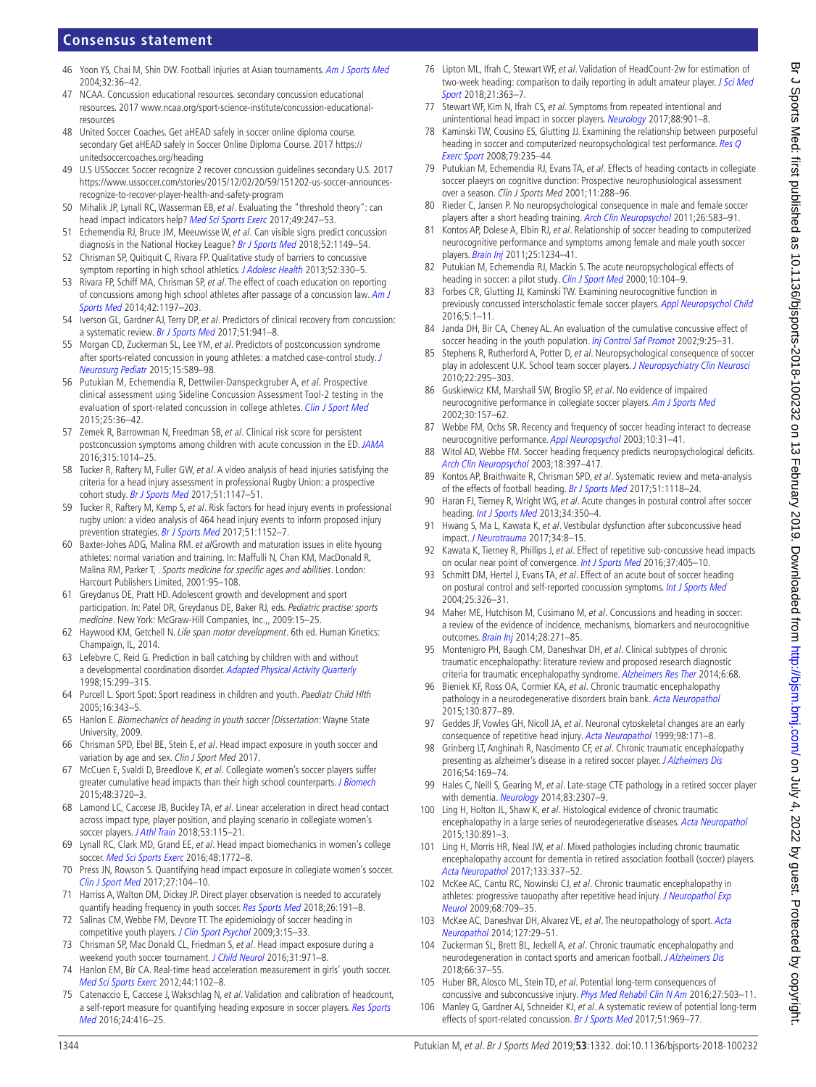# **Consensus statement**

- <span id="page-12-0"></span>46 Yoon YS, Chai M, Shin DW. Football injuries at Asian tournaments. [Am J Sports Med](http://dx.doi.org/10.1177/0095399703258781) 2004;32:36–42.
- <span id="page-12-1"></span>47 NCAA. Concussion educational resources. secondary concussion educational resources. 2017 [www.ncaa.org/sport-science-institute/concussion-educational](www.ncaa.org/sport-science-institute/concussion-educational-resources)[resources](www.ncaa.org/sport-science-institute/concussion-educational-resources)
- 48 United Soccer Coaches. Get aHEAD safely in soccer online diploma course. secondary Get aHEAD safely in Soccer Online Diploma Course. 2017 [https://](https://unitedsoccercoaches.org/heading) [unitedsoccercoaches.org/heading](https://unitedsoccercoaches.org/heading)
- <span id="page-12-7"></span>49 U.S USSoccer. Soccer recognize 2 recover concussion guidelines secondary U.S. 2017 [https://www.ussoccer.com/stories/2015/12/02/20/59/151202-us-soccer-announces](https://www.ussoccer.com/stories/2015/12/02/20/59/151202-us-soccer-announces-recognize-to-recover-player-health-and-safety-program)[recognize-to-recover-player-health-and-safety-program](https://www.ussoccer.com/stories/2015/12/02/20/59/151202-us-soccer-announces-recognize-to-recover-player-health-and-safety-program)
- <span id="page-12-2"></span>50 Mihalik JP, Lynall RC, Wasserman EB, et al. Evaluating the "threshold theory": can head impact indicators help? [Med Sci Sports Exerc](http://dx.doi.org/10.1249/MSS.0000000000001089) 2017;49:247-53.
- <span id="page-12-3"></span>51 Echemendia RJ, Bruce JM, Meeuwisse W, et al. Can visible signs predict concussion diagnosis in the National Hockey League? [Br J Sports Med](http://dx.doi.org/10.1136/bjsports-2016-097090) 2018;52:1149-54.
- <span id="page-12-4"></span>52 Chrisman SP, Quitiquit C, Rivara FP. Qualitative study of barriers to concussive symptom reporting in high school athletics. [J Adolesc Health](http://dx.doi.org/10.1016/j.jadohealth.2012.10.271) 2013;52:330-5.
- 53 Rivara FP, Schiff MA, Chrisman SP, et al. The effect of coach education on reporting of concussions among high school athletes after passage of a concussion law. Am J [Sports Med](http://dx.doi.org/10.1177/0363546514521774) 2014;42:1197–203.
- <span id="page-12-5"></span>54 Iverson GL, Gardner AJ, Terry DP, et al. Predictors of clinical recovery from concussion: a systematic review. [Br J Sports Med](http://dx.doi.org/10.1136/bjsports-2017-097729) 2017;51:941–8.
- 55 Morgan CD, Zuckerman SL, Lee YM, et al. Predictors of postconcussion syndrome after sports-related concussion in young athletes: a matched case-control study. J [Neurosurg Pediatr](http://dx.doi.org/10.3171/2014.10.PEDS14356) 2015;15:589–98.
- 56 Putukian M, Echemendia R, Dettwiler-Danspeckgruber A, et al. Prospective clinical assessment using Sideline Concussion Assessment Tool-2 testing in the evaluation of sport-related concussion in college athletes. [Clin J Sport Med](http://dx.doi.org/10.1097/JSM.0000000000000102) 2015;25:36–42.
- 57 Zemek R, Barrowman N, Freedman SB, et al. Clinical risk score for persistent postconcussion symptoms among children with acute concussion in the ED. [JAMA](http://dx.doi.org/10.1001/jama.2016.1203) 2016;315:1014–25.
- 58 Tucker R, Raftery M, Fuller GW, et al. A video analysis of head injuries satisfying the criteria for a head injury assessment in professional Rugby Union: a prospective cohort study. [Br J Sports Med](http://dx.doi.org/10.1136/bjsports-2017-097883) 2017;51:1147-51.
- 59 Tucker R, Raftery M, Kemp S, et al. Risk factors for head injury events in professional rugby union: a video analysis of 464 head injury events to inform proposed injury prevention strategies. [Br J Sports Med](http://dx.doi.org/10.1136/bjsports-2017-097895) 2017;51:1152-7.
- <span id="page-12-6"></span>60 Baxter-Johes ADG, Malina RM. et alGrowth and maturation issues in elite hyoung athletes: normal variation and training. In: Maffulli N, Chan KM, MacDonald R, Malina RM, Parker T, . Sports medicine for specific ages and abilities. London: Harcourt Publishers Limited, 2001:95–108.
- 61 Greydanus DE, Pratt HD. Adolescent growth and development and sport participation. In: Patel DR, Greydanus DE, Baker RJ, eds. Pediatric practise: sports medicine. New York: McGraw-Hill Companies, Inc.,, 2009:15–25.
- 62 Haywood KM, Getchell N. Life span motor development. 6th ed. Human Kinetics: Champaign, IL, 2014.
- 63 Lefebvre C, Reid G. Prediction in ball catching by children with and without a developmental coordination disorder. [Adapted Physical Activity Quarterly](http://dx.doi.org/10.1123/apaq.15.4.299) 1998;15:299–315.
- 64 Purcell L. Sport Spot: Sport readiness in children and youth. Paediatr Child Hlth 2005;16:343–5.
- <span id="page-12-8"></span>65 Hanlon E. Biomechanics of heading in youth soccer [Dissertation: Wayne State University, 2009.
- 66 Chrisman SPD, Ebel BE, Stein E, et al. Head impact exposure in youth soccer and variation by age and sex. Clin J Sport Med 2017.
- <span id="page-12-9"></span>67 McCuen E, Svaldi D, Breedlove K, et al. Collegiate women's soccer players suffer greater cumulative head impacts than their high school counterparts. *[J Biomech](http://dx.doi.org/10.1016/j.jbiomech.2015.08.003)* 2015;48:3720–3.
- <span id="page-12-10"></span>68 Lamond LC, Caccese JB, Buckley TA, et al. Linear acceleration in direct head contact across impact type, player position, and playing scenario in collegiate women's soccer players. [J Athl Train](http://dx.doi.org/10.4085/1062-6050-90-17) 2018;53:115-21.
- <span id="page-12-18"></span>69 Lynall RC, Clark MD, Grand EE, et al. Head impact biomechanics in women's college soccer. [Med Sci Sports Exerc](http://dx.doi.org/10.1249/MSS.0000000000000951) 2016;48:1772-8.
- <span id="page-12-11"></span>70 Press JN, Rowson S. Quantifying head impact exposure in collegiate women's soccer. [Clin J Sport Med](http://dx.doi.org/10.1097/JSM.0000000000000313) 2017;27:104–10.
- <span id="page-12-12"></span>71 Harriss A, Walton DM, Dickey JP. Direct player observation is needed to accurately quantify heading frequency in youth soccer. [Res Sports Med](http://dx.doi.org/10.1080/15438627.2018.1431534) 2018;26:191-8.
- <span id="page-12-13"></span>72 Salinas CM, Webbe FM, Devore TT. The epidemiology of soccer heading in competitive youth players. [J Clin Sport Psychol](http://dx.doi.org/10.1123/jcsp.3.1.15) 2009;3:15-33.
- <span id="page-12-14"></span>73 Chrisman SP, Mac Donald CL, Friedman S, et al. Head impact exposure during a weekend youth soccer tournament. [J Child Neurol](http://dx.doi.org/10.1177/0883073816634857) 2016;31:971-8.
- <span id="page-12-15"></span>74 Hanlon EM, Bir CA. Real-time head acceleration measurement in girls' youth soccer. [Med Sci Sports Exerc](http://dx.doi.org/10.1249/MSS.0b013e3182444d7d) 2012;44:1102–8.
- <span id="page-12-16"></span>75 Catenaccio E, Caccese J, Wakschlag N, et al. Validation and calibration of headcount, a self-report measure for quantifying heading exposure in soccer players. Res Sports [Med](http://dx.doi.org/10.1080/15438627.2016.1234472) 2016;24:416–25.
- 76 Lipton ML, Ifrah C, Stewart WF, et al. Validation of HeadCount-2w for estimation of two-week heading: comparison to daily reporting in adult amateur player. J Sci Med [Sport](http://dx.doi.org/10.1016/j.jsams.2017.08.008) 2018;21:363–7.
- 77 Stewart WF, Kim N, Ifrah CS, et al. Symptoms from repeated intentional and unintentional head impact in soccer players. [Neurology](http://dx.doi.org/10.1212/WNL.0000000000003657) 2017;88:901-8.
- <span id="page-12-17"></span>78 Kaminski TW, Cousino ES, Glutting JJ. Examining the relationship between purposeful heading in soccer and computerized neuropsychological test performance. [Res Q](http://dx.doi.org/10.1080/02701367.2008.10599486)  [Exerc Sport](http://dx.doi.org/10.1080/02701367.2008.10599486) 2008;79:235–44.
- <span id="page-12-19"></span>79 Putukian M, Echemendia RJ, Evans TA, et al. Effects of heading contacts in collegiate soccer plaevrs on cognitive dunction: Prospective neurophusiological assessment over a season. Clin J Sports Med 2001:11:288-96.
- <span id="page-12-20"></span>80 Rieder C, Jansen P. No neuropsychological consequence in male and female soccer players after a short heading training. [Arch Clin Neuropsychol](http://dx.doi.org/10.1093/arclin/acr055) 2011;26:583-91.
- <span id="page-12-21"></span>81 Kontos AP, Dolese A, Elbin RJ, et al. Relationship of soccer heading to computerized neurocognitive performance and symptoms among female and male youth soccer players. *[Brain Inj](http://dx.doi.org/10.3109/02699052.2011.608209)* 2011;25:1234-41.
- 82 Putukian M, Echemendia RJ, Mackin S. The acute neuropsychological effects of heading in soccer: a pilot study. [Clin J Sport Med](http://dx.doi.org/10.1097/00042752-200004000-00004) 2000;10:104-9.
- 83 Forbes CR, Glutting JJ, Kaminski TW. Examining neurocognitive function in previously concussed interscholastic female soccer players. [Appl Neuropsychol Child](http://dx.doi.org/10.1080/21622965.2014.933108)  $2016.5.1 - 11$
- 84 Janda DH, Bir CA, Cheney AL. An evaluation of the cumulative concussive effect of soccer heading in the youth population. [Inj Control Saf Promot](http://dx.doi.org/10.1076/icsp.9.1.25.3324) 2002;9:25-31.
- <span id="page-12-22"></span>85 Stephens R, Rutherford A, Potter D, et al. Neuropsychological consequence of soccer play in adolescent U.K. School team soccer players. [J Neuropsychiatry Clin Neurosci](http://dx.doi.org/10.1176/jnp.2010.22.3.295) 2010;22:295–303.
- <span id="page-12-23"></span>86 Guskiewicz KM, Marshall SW, Broglio SP, et al. No evidence of impaired neurocognitive performance in collegiate soccer players. [Am J Sports Med](http://dx.doi.org/10.1177/03635465020300020201) 2002;30:157–62.
- <span id="page-12-24"></span>87 Webbe FM, Ochs SR. Recency and frequency of soccer heading interact to decrease neurocognitive performance. [Appl Neuropsychol](http://dx.doi.org/10.1207/S15324826AN1001_5) 2003;10:31-41.
- 88 Witol AD, Webbe FM. Soccer heading frequency predicts neuropsychological deficits. [Arch Clin Neuropsychol](http://dx.doi.org/10.1093/arclin/18.4.397) 2003;18:397–417.
- <span id="page-12-25"></span>89 Kontos AP, Braithwaite R, Chrisman SPD, et al. Systematic review and meta-analysis of the effects of football heading. [Br J Sports Med](http://dx.doi.org/10.1136/bjsports-2016-096276) 2017;51:1118-24.
- <span id="page-12-26"></span>90 Haran FJ, Tierney R, Wright WG, et al. Acute changes in postural control after soccer heading. [Int J Sports Med](http://dx.doi.org/10.1055/s-0032-1304647) 2013;34:350-4.
- <span id="page-12-27"></span>91 Hwang S, Ma L, Kawata K, et al. Vestibular dysfunction after subconcussive head impact. [J Neurotrauma](http://dx.doi.org/10.1089/neu.2015.4238) 2017;34:8-15.
- 92 Kawata K, Tierney R, Phillips J, et al. Effect of repetitive sub-concussive head impacts on ocular near point of convergence. [Int J Sports Med](http://dx.doi.org/10.1055/s-0035-1569290) 2016;37:405-10.
- <span id="page-12-28"></span>93 Schmitt DM, Hertel J, Evans TA, et al. Effect of an acute bout of soccer heading on postural control and self-reported concussion symptoms. [Int J Sports Med](http://dx.doi.org/10.1055/s-2004-819941) 2004;25:326–31.
- <span id="page-12-29"></span>94 Maher ME, Hutchison M, Cusimano M, et al. Concussions and heading in soccer: a review of the evidence of incidence, mechanisms, biomarkers and neurocognitive outcomes. **[Brain Inj](http://dx.doi.org/10.3109/02699052.2013.865269) 2014;28:271-85.**
- <span id="page-12-30"></span>95 Montenigro PH, Baugh CM, Daneshvar DH, et al. Clinical subtypes of chronic traumatic encephalopathy: literature review and proposed research diagnostic criteria for traumatic encephalopathy syndrome. [Alzheimers Res Ther](http://dx.doi.org/10.1186/s13195-014-0068-z) 2014;6:68.
- <span id="page-12-31"></span>96 Bieniek KF, Ross OA, Cormier KA, et al. Chronic traumatic encephalopathy pathology in a neurodegenerative disorders brain bank. [Acta Neuropathol](http://dx.doi.org/10.1007/s00401-015-1502-4) 2015;130:877–89.
- 97 Geddes JF, Vowles GH, Nicoll JA, et al. Neuronal cytoskeletal changes are an early consequence of repetitive head injury. [Acta Neuropathol](http://dx.doi.org/10.1007/s004010051066) 1999;98:171–8.
- 98 Grinberg LT, Anghinah R, Nascimento CF, et al. Chronic traumatic encephalopathy presenting as alzheimer's disease in a retired soccer player. [J Alzheimers Dis](http://dx.doi.org/10.3233/JAD-160312) 2016;54:169–74.
- 99 Hales C, Neill S, Gearing M, et al. Late-stage CTE pathology in a retired soccer player with dementia. [Neurology](http://dx.doi.org/10.1212/WNL.0000000000001081) 2014;83:2307-9.
- 100 Ling H, Holton JL, Shaw K, et al. Histological evidence of chronic traumatic encephalopathy in a large series of neurodegenerative diseases. [Acta Neuropathol](http://dx.doi.org/10.1007/s00401-015-1496-y) 2015;130:891–3.
- 101 Ling H, Morris HR, Neal JW, et al. Mixed pathologies including chronic traumatic encephalopathy account for dementia in retired association football (soccer) players. [Acta Neuropathol](http://dx.doi.org/10.1007/s00401-017-1680-3) 2017;133:337–52.
- 102 McKee AC, Cantu RC, Nowinski CJ, et al. Chronic traumatic encephalopathy in athletes: progressive tauopathy after repetitive head injury. *J Neuropathol Exp* [Neurol](http://dx.doi.org/10.1097/NEN.0b013e3181a9d503) 2009;68:709–35.
- 103 McKee AC, Daneshvar DH, Alvarez VE, et al. The neuropathology of sport. Acta [Neuropathol](http://dx.doi.org/10.1007/s00401-013-1230-6) 2014;127:29–51.
- <span id="page-12-32"></span>104 Zuckerman SL, Brett BL, Jeckell A, et al. Chronic traumatic encephalopathy and neurodegeneration in contact sports and american football. [J Alzheimers Dis](http://dx.doi.org/10.3233/JAD-180218) 2018;66:37–55.
- <span id="page-12-33"></span>105 Huber BR, Alosco ML, Stein TD, et al. Potential long-term consequences of concussive and subconcussive injury. [Phys Med Rehabil Clin N Am](http://dx.doi.org/10.1016/j.pmr.2015.12.007) 2016;27:503-11.
- <span id="page-12-34"></span>106 Manley G, Gardner AJ, Schneider KJ, et al. A systematic review of potential long-term effects of sport-related concussion. [Br J Sports Med](http://dx.doi.org/10.1136/bjsports-2017-097791) 2017;51:969–77.